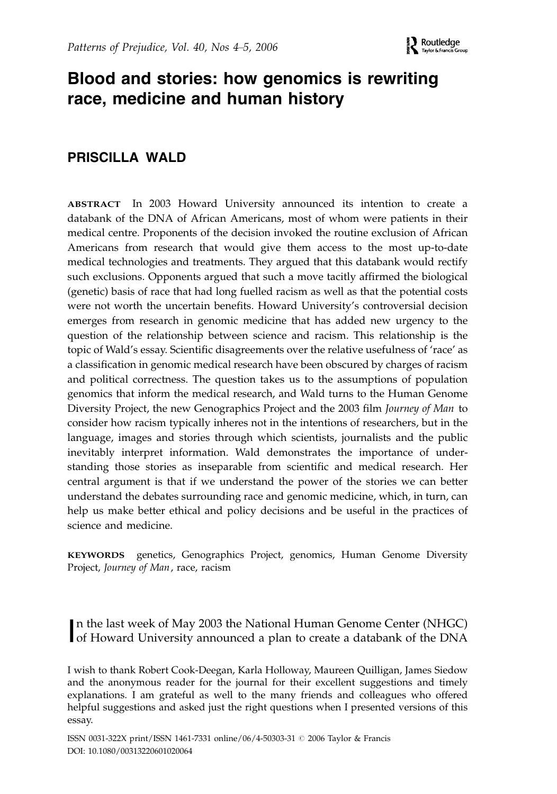# Blood and stories: how genomics is rewriting race, medicine and human history

## PRISCILLA WALD

ABSTRACT In 2003 Howard University announced its intention to create a databank of the DNA of African Americans, most of whom were patients in their medical centre. Proponents of the decision invoked the routine exclusion of African Americans from research that would give them access to the most up-to-date medical technologies and treatments. They argued that this databank would rectify such exclusions. Opponents argued that such a move tacitly affirmed the biological (genetic) basis of race that had long fuelled racism as well as that the potential costs were not worth the uncertain benefits. Howard University's controversial decision emerges from research in genomic medicine that has added new urgency to the question of the relationship between science and racism. This relationship is the topic of Wald's essay. Scientific disagreements over the relative usefulness of 'race' as a classification in genomic medical research have been obscured by charges of racism and political correctness. The question takes us to the assumptions of population genomics that inform the medical research, and Wald turns to the Human Genome Diversity Project, the new Genographics Project and the 2003 film Journey of Man to consider how racism typically inheres not in the intentions of researchers, but in the language, images and stories through which scientists, journalists and the public inevitably interpret information. Wald demonstrates the importance of understanding those stories as inseparable from scientific and medical research. Her central argument is that if we understand the power of the stories we can better understand the debates surrounding race and genomic medicine, which, in turn, can help us make better ethical and policy decisions and be useful in the practices of science and medicine.

KEYWORDS genetics, Genographics Project, genomics, Human Genome Diversity Project, Journey of Man, race, racism

In the last week of May 2003 the National Human Genome Center (NHGC) of Howard University announced a plan to create a databank of the DNA n the last week of May 2003 the National Human Genome Center (NHGC)

I wish to thank Robert Cook-Deegan, Karla Holloway, Maureen Quilligan, James Siedow and the anonymous reader for the journal for their excellent suggestions and timely explanations. I am grateful as well to the many friends and colleagues who offered helpful suggestions and asked just the right questions when I presented versions of this essay.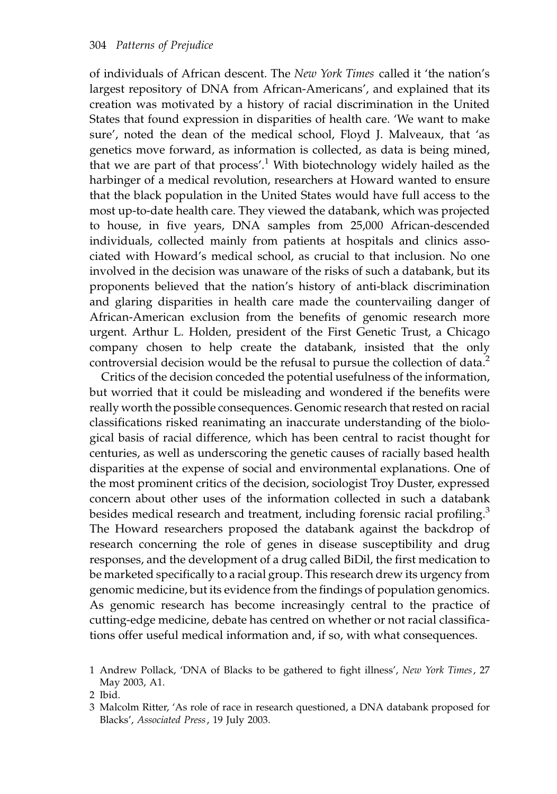of individuals of African descent. The New York Times called it 'the nation's largest repository of DNA from African-Americans', and explained that its creation was motivated by a history of racial discrimination in the United States that found expression in disparities of health care. 'We want to make sure', noted the dean of the medical school, Floyd J. Malveaux, that 'as genetics move forward, as information is collected, as data is being mined, that we are part of that process'.<sup>1</sup> With biotechnology widely hailed as the harbinger of a medical revolution, researchers at Howard wanted to ensure that the black population in the United States would have full access to the most up-to-date health care. They viewed the databank, which was projected to house, in five years, DNA samples from 25,000 African-descended individuals, collected mainly from patients at hospitals and clinics associated with Howard's medical school, as crucial to that inclusion. No one involved in the decision was unaware of the risks of such a databank, but its proponents believed that the nation's history of anti-black discrimination and glaring disparities in health care made the countervailing danger of African-American exclusion from the benefits of genomic research more urgent. Arthur L. Holden, president of the First Genetic Trust, a Chicago company chosen to help create the databank, insisted that the only controversial decision would be the refusal to pursue the collection of data.<sup>2</sup>

Critics of the decision conceded the potential usefulness of the information, but worried that it could be misleading and wondered if the benefits were really worth the possible consequences. Genomic research that rested on racial classifications risked reanimating an inaccurate understanding of the biological basis of racial difference, which has been central to racist thought for centuries, as well as underscoring the genetic causes of racially based health disparities at the expense of social and environmental explanations. One of the most prominent critics of the decision, sociologist Troy Duster, expressed concern about other uses of the information collected in such a databank besides medical research and treatment, including forensic racial profiling.<sup>3</sup> The Howard researchers proposed the databank against the backdrop of research concerning the role of genes in disease susceptibility and drug responses, and the development of a drug called BiDil, the first medication to be marketed specifically to a racial group. This research drew its urgency from genomic medicine, but its evidence from the findings of population genomics. As genomic research has become increasingly central to the practice of cutting-edge medicine, debate has centred on whether or not racial classifications offer useful medical information and, if so, with what consequences.

<sup>1</sup> Andrew Pollack, 'DNA of Blacks to be gathered to fight illness', New York Times, 27 May 2003, A1.

<sup>2</sup> Ibid.

<sup>3</sup> Malcolm Ritter, 'As role of race in research questioned, a DNA databank proposed for Blacks', Associated Press, 19 July 2003.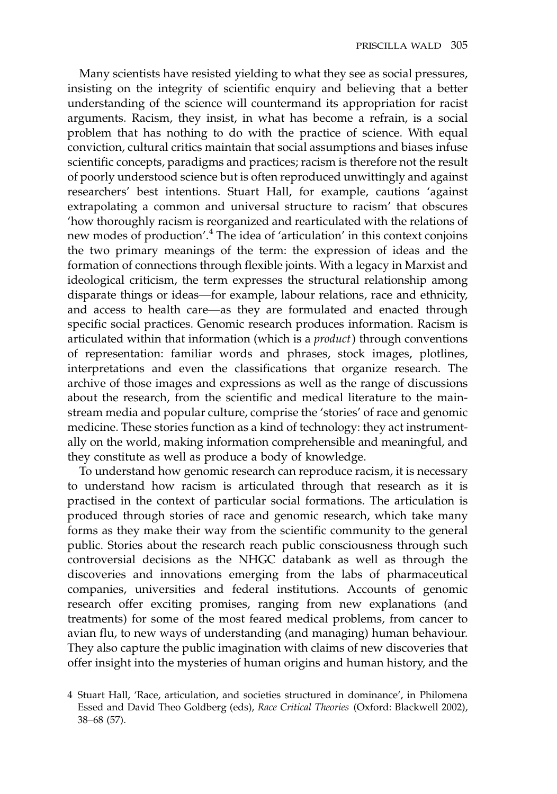Many scientists have resisted yielding to what they see as social pressures, insisting on the integrity of scientific enquiry and believing that a better understanding of the science will countermand its appropriation for racist arguments. Racism, they insist, in what has become a refrain, is a social problem that has nothing to do with the practice of science. With equal conviction, cultural critics maintain that social assumptions and biases infuse scientific concepts, paradigms and practices; racism is therefore not the result of poorly understood science but is often reproduced unwittingly and against researchers' best intentions. Stuart Hall, for example, cautions 'against extrapolating a common and universal structure to racism' that obscures 'how thoroughly racism is reorganized and rearticulated with the relations of new modes of production'.<sup>4</sup> The idea of 'articulation' in this context conjoins the two primary meanings of the term: the expression of ideas and the formation of connections through flexible joints. With a legacy in Marxist and ideological criticism, the term expresses the structural relationship among disparate things or ideas—for example, labour relations, race and ethnicity, and access to health care—as they are formulated and enacted through specific social practices. Genomic research produces information. Racism is articulated within that information (which is a product) through conventions of representation: familiar words and phrases, stock images, plotlines, interpretations and even the classifications that organize research. The archive of those images and expressions as well as the range of discussions about the research, from the scientific and medical literature to the mainstream media and popular culture, comprise the 'stories' of race and genomic medicine. These stories function as a kind of technology: they act instrumentally on the world, making information comprehensible and meaningful, and they constitute as well as produce a body of knowledge.

To understand how genomic research can reproduce racism, it is necessary to understand how racism is articulated through that research as it is practised in the context of particular social formations. The articulation is produced through stories of race and genomic research, which take many forms as they make their way from the scientific community to the general public. Stories about the research reach public consciousness through such controversial decisions as the NHGC databank as well as through the discoveries and innovations emerging from the labs of pharmaceutical companies, universities and federal institutions. Accounts of genomic research offer exciting promises, ranging from new explanations (and treatments) for some of the most feared medical problems, from cancer to avian flu, to new ways of understanding (and managing) human behaviour. They also capture the public imagination with claims of new discoveries that offer insight into the mysteries of human origins and human history, and the

<sup>4</sup> Stuart Hall, 'Race, articulation, and societies structured in dominance', in Philomena Essed and David Theo Goldberg (eds), Race Critical Theories (Oxford: Blackwell 2002), 38/68 (57).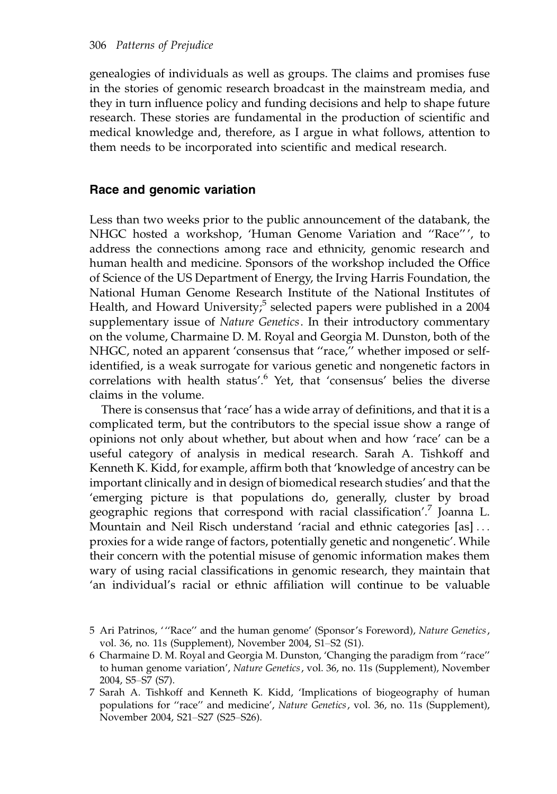genealogies of individuals as well as groups. The claims and promises fuse in the stories of genomic research broadcast in the mainstream media, and they in turn influence policy and funding decisions and help to shape future research. These stories are fundamental in the production of scientific and medical knowledge and, therefore, as I argue in what follows, attention to them needs to be incorporated into scientific and medical research.

## Race and genomic variation

Less than two weeks prior to the public announcement of the databank, the NHGC hosted a workshop, 'Human Genome Variation and ''Race'' ', to address the connections among race and ethnicity, genomic research and human health and medicine. Sponsors of the workshop included the Office of Science of the US Department of Energy, the Irving Harris Foundation, the National Human Genome Research Institute of the National Institutes of Health, and Howard University;<sup>5</sup> selected papers were published in a 2004 supplementary issue of Nature Genetics. In their introductory commentary on the volume, Charmaine D. M. Royal and Georgia M. Dunston, both of the NHGC, noted an apparent 'consensus that ''race,'' whether imposed or selfidentified, is a weak surrogate for various genetic and nongenetic factors in correlations with health status'.<sup>6</sup> Yet, that 'consensus' belies the diverse claims in the volume.

There is consensus that 'race' has a wide array of definitions, and that it is a complicated term, but the contributors to the special issue show a range of opinions not only about whether, but about when and how 'race' can be a useful category of analysis in medical research. Sarah A. Tishkoff and Kenneth K. Kidd, for example, affirm both that 'knowledge of ancestry can be important clinically and in design of biomedical research studies' and that the 'emerging picture is that populations do, generally, cluster by broad geographic regions that correspond with racial classification'.<sup>7</sup> Joanna L. Mountain and Neil Risch understand 'racial and ethnic categories [as] ... proxies for a wide range of factors, potentially genetic and nongenetic'. While their concern with the potential misuse of genomic information makes them wary of using racial classifications in genomic research, they maintain that 'an individual's racial or ethnic affiliation will continue to be valuable

<sup>5</sup> Ari Patrinos, ' ''Race'' and the human genome' (Sponsor's Foreword), Nature Genetics, vol. 36, no. 11s (Supplement), November 2004, S1-S2 (S1).

<sup>6</sup> Charmaine D. M. Royal and Georgia M. Dunston, 'Changing the paradigm from ''race'' to human genome variation', Nature Genetics, vol. 36, no. 11s (Supplement), November 2004, S5-S7 (S7).

<sup>7</sup> Sarah A. Tishkoff and Kenneth K. Kidd, 'Implications of biogeography of human populations for ''race'' and medicine', Nature Genetics, vol. 36, no. 11s (Supplement), November 2004, S21-S27 (S25-S26).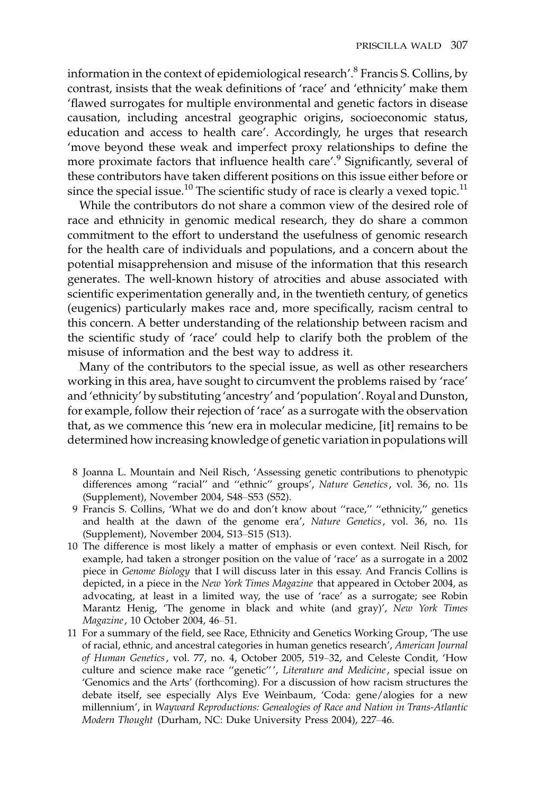information in the context of epidemiological research'.8 Francis S. Collins, by contrast, insists that the weak definitions of 'race' and 'ethnicity' make them 'flawed surrogates for multiple environmental and genetic factors in disease causation, including ancestral geographic origins, socioeconomic status, education and access to health care'. Accordingly, he urges that research 'move beyond these weak and imperfect proxy relationships to define the more proximate factors that influence health care'.<sup>9</sup> Significantly, several of these contributors have taken different positions on this issue either before or since the special issue.<sup>10</sup> The scientific study of race is clearly a vexed topic.<sup>11</sup>

While the contributors do not share a common view of the desired role of race and ethnicity in genomic medical research, they do share a common commitment to the effort to understand the usefulness of genomic research for the health care of individuals and populations, and a concern about the potential misapprehension and misuse of the information that this research generates. The well-known history of atrocities and abuse associated with scientific experimentation generally and, in the twentieth century, of genetics (eugenics) particularly makes race and, more specifically, racism central to this concern. A better understanding of the relationship between racism and the scientific study of 'race' could help to clarify both the problem of the misuse of information and the best way to address it.

Many of the contributors to the special issue, as well as other researchers working in this area, have sought to circumvent the problems raised by 'race' and 'ethnicity' by substituting 'ancestry' and 'population'. Royal and Dunston, for example, follow their rejection of 'race' as a surrogate with the observation that, as we commence this 'new era in molecular medicine, [it] remains to be determined how increasing knowledge of genetic variation in populations will

- 8 Joanna L. Mountain and Neil Risch, 'Assessing genetic contributions to phenotypic differences among "racial" and "ethnic" groups', Nature Genetics, vol. 36, no. 11s (Supplement), November 2004, S48-S53 (S52).
- 9 Francis S. Collins, 'What we do and don't know about ''race,'' ''ethnicity,'' genetics and health at the dawn of the genome era', Nature Genetics, vol. 36, no. 11s (Supplement), November 2004, S13-S15 (S13).
- 10 The difference is most likely a matter of emphasis or even context. Neil Risch, for example, had taken a stronger position on the value of 'race' as a surrogate in a 2002 piece in Genome Biology that I will discuss later in this essay. And Francis Collins is depicted, in a piece in the New York Times Magazine that appeared in October 2004, as advocating, at least in a limited way, the use of 'race' as a surrogate; see Robin Marantz Henig, 'The genome in black and white (and gray)', New York Times Magazine, 10 October 2004, 46-51.
- 11 For a summary of the field, see Race, Ethnicity and Genetics Working Group, 'The use of racial, ethnic, and ancestral categories in human genetics research', American Journal of Human Genetics, vol. 77, no. 4, October 2005, 519-32, and Celeste Condit, 'How culture and science make race ''genetic'' ', Literature and Medicine, special issue on 'Genomics and the Arts' (forthcoming). For a discussion of how racism structures the debate itself, see especially Alys Eve Weinbaum, 'Coda: gene/alogies for a new millennium', in Wayward Reproductions: Genealogies of Race and Nation in Trans-Atlantic Modern Thought (Durham, NC: Duke University Press 2004), 227-46.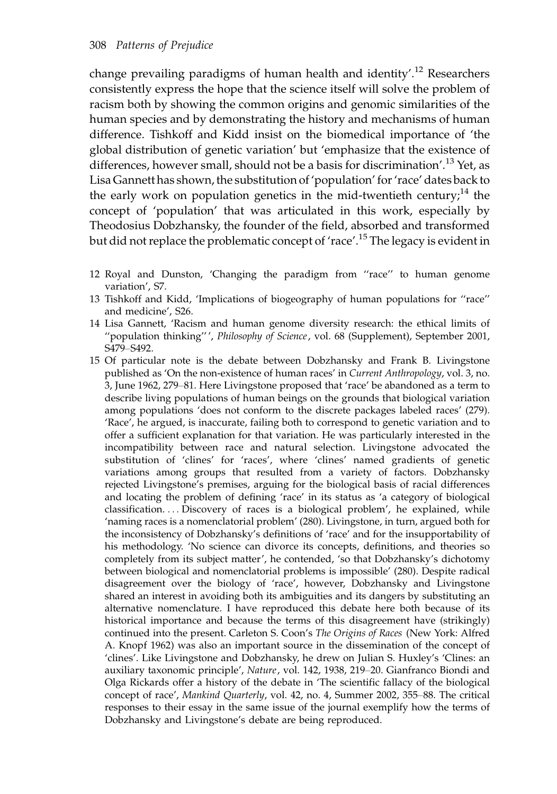change prevailing paradigms of human health and identity'.<sup>12</sup> Researchers consistently express the hope that the science itself will solve the problem of racism both by showing the common origins and genomic similarities of the human species and by demonstrating the history and mechanisms of human difference. Tishkoff and Kidd insist on the biomedical importance of 'the global distribution of genetic variation' but 'emphasize that the existence of differences, however small, should not be a basis for discrimination'.13 Yet, as Lisa Gannett has shown, the substitution of 'population' for 'race' dates back to the early work on population genetics in the mid-twentieth century;<sup>14</sup> the concept of 'population' that was articulated in this work, especially by Theodosius Dobzhansky, the founder of the field, absorbed and transformed but did not replace the problematic concept of 'race'.<sup>15</sup> The legacy is evident in

- 12 Royal and Dunston, 'Changing the paradigm from ''race'' to human genome variation', S7.
- 13 Tishkoff and Kidd, 'Implications of biogeography of human populations for ''race'' and medicine', S26.
- 14 Lisa Gannett, 'Racism and human genome diversity research: the ethical limits of ''population thinking'' ', Philosophy of Science, vol. 68 (Supplement), September 2001, S479-S492.
- 15 Of particular note is the debate between Dobzhansky and Frank B. Livingstone published as 'On the non-existence of human races' in Current Anthropology, vol. 3, no. 3, June 1962, 279–81. Here Livingstone proposed that 'race' be abandoned as a term to describe living populations of human beings on the grounds that biological variation among populations 'does not conform to the discrete packages labeled races' (279). 'Race', he argued, is inaccurate, failing both to correspond to genetic variation and to offer a sufficient explanation for that variation. He was particularly interested in the incompatibility between race and natural selection. Livingstone advocated the substitution of 'clines' for 'races', where 'clines' named gradients of genetic variations among groups that resulted from a variety of factors. Dobzhansky rejected Livingstone's premises, arguing for the biological basis of racial differences and locating the problem of defining 'race' in its status as 'a category of biological classification. ... Discovery of races is a biological problem', he explained, while 'naming races is a nomenclatorial problem' (280). Livingstone, in turn, argued both for the inconsistency of Dobzhansky's definitions of 'race' and for the insupportability of his methodology. 'No science can divorce its concepts, definitions, and theories so completely from its subject matter', he contended, 'so that Dobzhansky's dichotomy between biological and nomenclatorial problems is impossible' (280). Despite radical disagreement over the biology of 'race', however, Dobzhansky and Livingstone shared an interest in avoiding both its ambiguities and its dangers by substituting an alternative nomenclature. I have reproduced this debate here both because of its historical importance and because the terms of this disagreement have (strikingly) continued into the present. Carleton S. Coon's The Origins of Races (New York: Alfred A. Knopf 1962) was also an important source in the dissemination of the concept of 'clines'. Like Livingstone and Dobzhansky, he drew on Julian S. Huxley's 'Clines: an auxiliary taxonomic principle', Nature, vol. 142, 1938, 219-20. Gianfranco Biondi and Olga Rickards offer a history of the debate in 'The scientific fallacy of the biological concept of race', Mankind Quarterly, vol. 42, no. 4, Summer 2002, 355-88. The critical responses to their essay in the same issue of the journal exemplify how the terms of Dobzhansky and Livingstone's debate are being reproduced.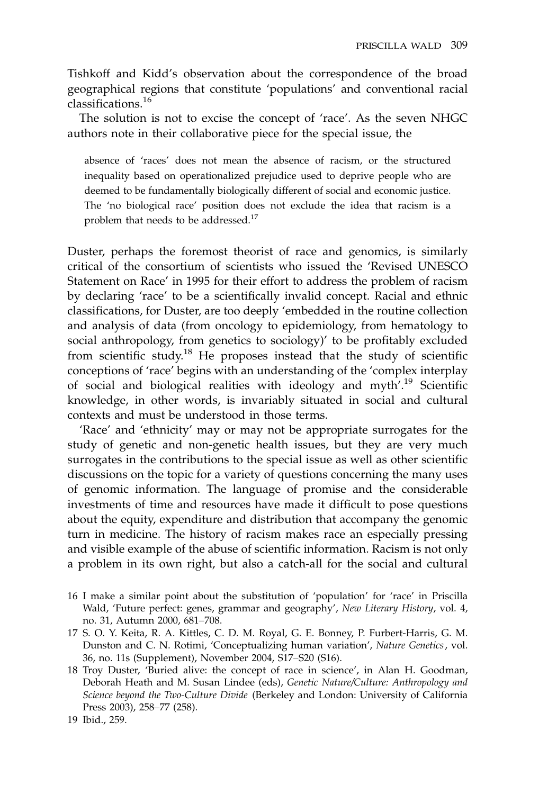Tishkoff and Kidd's observation about the correspondence of the broad geographical regions that constitute 'populations' and conventional racial classifications.<sup>16</sup>

The solution is not to excise the concept of 'race'. As the seven NHGC authors note in their collaborative piece for the special issue, the

absence of 'races' does not mean the absence of racism, or the structured inequality based on operationalized prejudice used to deprive people who are deemed to be fundamentally biologically different of social and economic justice. The 'no biological race' position does not exclude the idea that racism is a problem that needs to be addressed.<sup>17</sup>

Duster, perhaps the foremost theorist of race and genomics, is similarly critical of the consortium of scientists who issued the 'Revised UNESCO Statement on Race' in 1995 for their effort to address the problem of racism by declaring 'race' to be a scientifically invalid concept. Racial and ethnic classifications, for Duster, are too deeply 'embedded in the routine collection and analysis of data (from oncology to epidemiology, from hematology to social anthropology, from genetics to sociology)' to be profitably excluded from scientific study.18 He proposes instead that the study of scientific conceptions of 'race' begins with an understanding of the 'complex interplay of social and biological realities with ideology and myth'.19 Scientific knowledge, in other words, is invariably situated in social and cultural contexts and must be understood in those terms.

'Race' and 'ethnicity' may or may not be appropriate surrogates for the study of genetic and non-genetic health issues, but they are very much surrogates in the contributions to the special issue as well as other scientific discussions on the topic for a variety of questions concerning the many uses of genomic information. The language of promise and the considerable investments of time and resources have made it difficult to pose questions about the equity, expenditure and distribution that accompany the genomic turn in medicine. The history of racism makes race an especially pressing and visible example of the abuse of scientific information. Racism is not only a problem in its own right, but also a catch-all for the social and cultural

19 Ibid., 259.

<sup>16</sup> I make a similar point about the substitution of 'population' for 'race' in Priscilla Wald, 'Future perfect: genes, grammar and geography', New Literary History, vol. 4, no. 31, Autumn 2000, 681-708.

<sup>17</sup> S. O. Y. Keita, R. A. Kittles, C. D. M. Royal, G. E. Bonney, P. Furbert-Harris, G. M. Dunston and C. N. Rotimi, 'Conceptualizing human variation', Nature Genetics, vol. 36, no. 11s (Supplement), November 2004, S17-S20 (S16).

<sup>18</sup> Troy Duster, 'Buried alive: the concept of race in science', in Alan H. Goodman, Deborah Heath and M. Susan Lindee (eds), Genetic Nature/Culture: Anthropology and Science beyond the Two-Culture Divide (Berkeley and London: University of California Press 2003), 258-77 (258).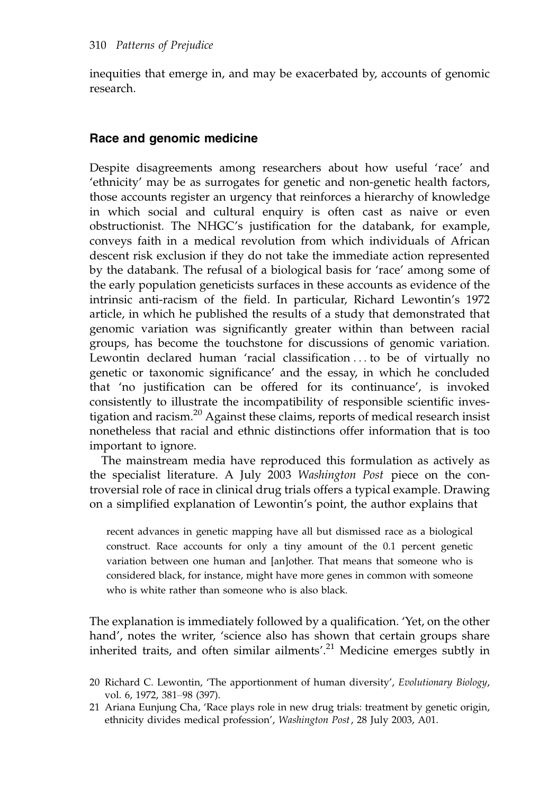inequities that emerge in, and may be exacerbated by, accounts of genomic research.

## Race and genomic medicine

Despite disagreements among researchers about how useful 'race' and 'ethnicity' may be as surrogates for genetic and non-genetic health factors, those accounts register an urgency that reinforces a hierarchy of knowledge in which social and cultural enquiry is often cast as naive or even obstructionist. The NHGC's justification for the databank, for example, conveys faith in a medical revolution from which individuals of African descent risk exclusion if they do not take the immediate action represented by the databank. The refusal of a biological basis for 'race' among some of the early population geneticists surfaces in these accounts as evidence of the intrinsic anti-racism of the field. In particular, Richard Lewontin's 1972 article, in which he published the results of a study that demonstrated that genomic variation was significantly greater within than between racial groups, has become the touchstone for discussions of genomic variation. Lewontin declared human 'racial classification ... to be of virtually no genetic or taxonomic significance' and the essay, in which he concluded that 'no justification can be offered for its continuance', is invoked consistently to illustrate the incompatibility of responsible scientific investigation and racism.20 Against these claims, reports of medical research insist nonetheless that racial and ethnic distinctions offer information that is too important to ignore.

The mainstream media have reproduced this formulation as actively as the specialist literature. A July 2003 Washington Post piece on the controversial role of race in clinical drug trials offers a typical example. Drawing on a simplified explanation of Lewontin's point, the author explains that

recent advances in genetic mapping have all but dismissed race as a biological construct. Race accounts for only a tiny amount of the 0.1 percent genetic variation between one human and [an]other. That means that someone who is considered black, for instance, might have more genes in common with someone who is white rather than someone who is also black.

The explanation is immediately followed by a qualification. 'Yet, on the other hand', notes the writer, 'science also has shown that certain groups share inherited traits, and often similar ailments'.<sup>21</sup> Medicine emerges subtly in

<sup>20</sup> Richard C. Lewontin, 'The apportionment of human diversity', Evolutionary Biology, vol. 6, 1972, 381-98 (397).

<sup>21</sup> Ariana Eunjung Cha, 'Race plays role in new drug trials: treatment by genetic origin, ethnicity divides medical profession', Washington Post, 28 July 2003, A01.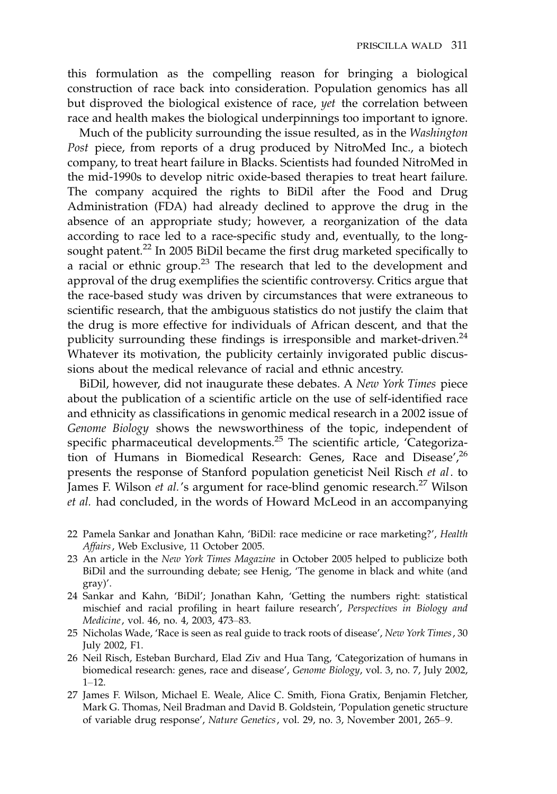this formulation as the compelling reason for bringing a biological construction of race back into consideration. Population genomics has all but disproved the biological existence of race, yet the correlation between race and health makes the biological underpinnings too important to ignore.

Much of the publicity surrounding the issue resulted, as in the Washington Post piece, from reports of a drug produced by NitroMed Inc., a biotech company, to treat heart failure in Blacks. Scientists had founded NitroMed in the mid-1990s to develop nitric oxide-based therapies to treat heart failure. The company acquired the rights to BiDil after the Food and Drug Administration (FDA) had already declined to approve the drug in the absence of an appropriate study; however, a reorganization of the data according to race led to a race-specific study and, eventually, to the longsought patent.<sup>22</sup> In 2005 BiDil became the first drug marketed specifically to a racial or ethnic group.<sup>23</sup> The research that led to the development and approval of the drug exemplifies the scientific controversy. Critics argue that the race-based study was driven by circumstances that were extraneous to scientific research, that the ambiguous statistics do not justify the claim that the drug is more effective for individuals of African descent, and that the publicity surrounding these findings is irresponsible and market-driven.<sup>24</sup> Whatever its motivation, the publicity certainly invigorated public discussions about the medical relevance of racial and ethnic ancestry.

BiDil, however, did not inaugurate these debates. A New York Times piece about the publication of a scientific article on the use of self-identified race and ethnicity as classifications in genomic medical research in a 2002 issue of Genome Biology shows the newsworthiness of the topic, independent of specific pharmaceutical developments.<sup>25</sup> The scientific article, 'Categorization of Humans in Biomedical Research: Genes, Race and Disease',<sup>26</sup> presents the response of Stanford population geneticist Neil Risch et al. to James F. Wilson et al.'s argument for race-blind genomic research.<sup>27</sup> Wilson et al. had concluded, in the words of Howard McLeod in an accompanying

- 22 Pamela Sankar and Jonathan Kahn, 'BiDil: race medicine or race marketing?', Health Affairs, Web Exclusive, 11 October 2005.
- 23 An article in the New York Times Magazine in October 2005 helped to publicize both BiDil and the surrounding debate; see Henig, 'The genome in black and white (and gray)'.
- 24 Sankar and Kahn, 'BiDil'; Jonathan Kahn, 'Getting the numbers right: statistical mischief and racial profiling in heart failure research', Perspectives in Biology and Medicine, vol. 46, no. 4, 2003, 473-83.
- 25 Nicholas Wade, 'Race is seen as real guide to track roots of disease', New York Times, 30 July 2002, F1.
- 26 Neil Risch, Esteban Burchard, Elad Ziv and Hua Tang, 'Categorization of humans in biomedical research: genes, race and disease', Genome Biology, vol. 3, no. 7, July 2002,  $1 - 12$ .
- 27 James F. Wilson, Michael E. Weale, Alice C. Smith, Fiona Gratix, Benjamin Fletcher, Mark G. Thomas, Neil Bradman and David B. Goldstein, 'Population genetic structure of variable drug response', Nature Genetics, vol. 29, no. 3, November 2001, 265-9.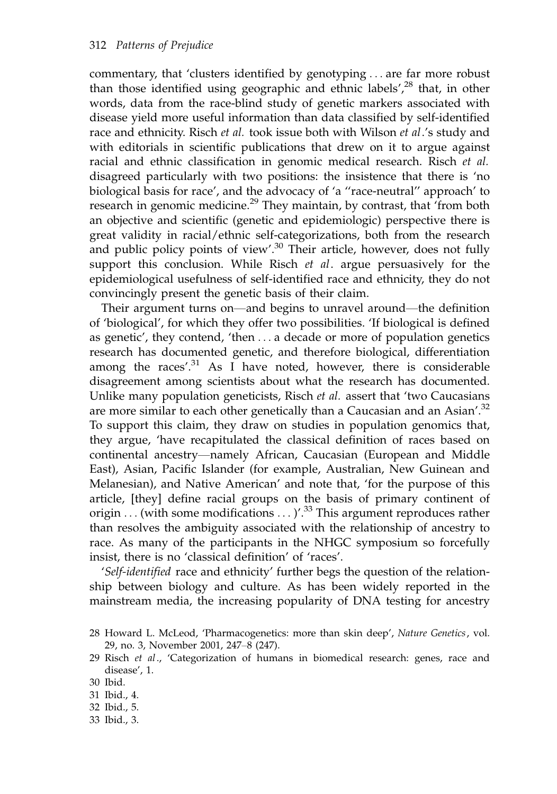commentary, that 'clusters identified by genotyping ... are far more robust than those identified using geographic and ethnic labels',28 that, in other words, data from the race-blind study of genetic markers associated with disease yield more useful information than data classified by self-identified race and ethnicity. Risch et al. took issue both with Wilson et al.'s study and with editorials in scientific publications that drew on it to argue against racial and ethnic classification in genomic medical research. Risch et al. disagreed particularly with two positions: the insistence that there is 'no biological basis for race', and the advocacy of 'a ''race-neutral'' approach' to research in genomic medicine.<sup>29</sup> They maintain, by contrast, that 'from both an objective and scientific (genetic and epidemiologic) perspective there is great validity in racial/ethnic self-categorizations, both from the research and public policy points of view'. $30$  Their article, however, does not fully support this conclusion. While Risch et al. argue persuasively for the epidemiological usefulness of self-identified race and ethnicity, they do not convincingly present the genetic basis of their claim.

Their argument turns on—and begins to unravel around—the definition of 'biological', for which they offer two possibilities. 'If biological is defined as genetic', they contend, 'then ... a decade or more of population genetics research has documented genetic, and therefore biological, differentiation among the races'. $31$  As I have noted, however, there is considerable disagreement among scientists about what the research has documented. Unlike many population geneticists, Risch et al. assert that 'two Caucasians are more similar to each other genetically than a Caucasian and an Asian'.<sup>32</sup> To support this claim, they draw on studies in population genomics that, they argue, 'have recapitulated the classical definition of races based on continental ancestry-namely African, Caucasian (European and Middle East), Asian, Pacific Islander (for example, Australian, New Guinean and Melanesian), and Native American' and note that, 'for the purpose of this article, [they] define racial groups on the basis of primary continent of origin ... (with some modifications ... )'.33 This argument reproduces rather than resolves the ambiguity associated with the relationship of ancestry to race. As many of the participants in the NHGC symposium so forcefully insist, there is no 'classical definition' of 'races'.

'Self-identified race and ethnicity' further begs the question of the relationship between biology and culture. As has been widely reported in the mainstream media, the increasing popularity of DNA testing for ancestry

33 Ibid., 3.

<sup>28</sup> Howard L. McLeod, 'Pharmacogenetics: more than skin deep', Nature Genetics, vol. 29, no. 3, November 2001, 247-8 (247).

<sup>29</sup> Risch et al., 'Categorization of humans in biomedical research: genes, race and disease', 1.

<sup>30</sup> Ibid.

<sup>31</sup> Ibid., 4.

<sup>32</sup> Ibid., 5.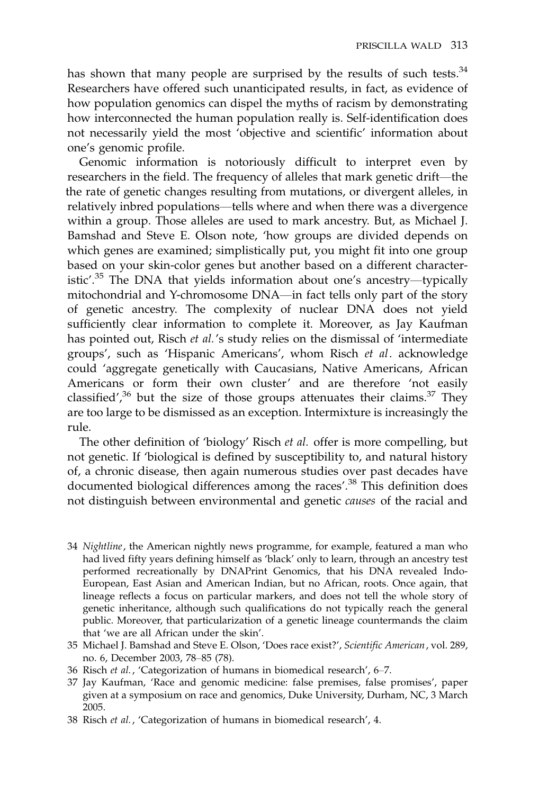has shown that many people are surprised by the results of such tests. $34$ Researchers have offered such unanticipated results, in fact, as evidence of how population genomics can dispel the myths of racism by demonstrating how interconnected the human population really is. Self-identification does not necessarily yield the most 'objective and scientific' information about one's genomic profile.

Genomic information is notoriously difficult to interpret even by researchers in the field. The frequency of alleles that mark genetic drift-the the rate of genetic changes resulting from mutations, or divergent alleles, in relatively inbred populations—tells where and when there was a divergence within a group. Those alleles are used to mark ancestry. But, as Michael J. Bamshad and Steve E. Olson note, 'how groups are divided depends on which genes are examined; simplistically put, you might fit into one group based on your skin-color genes but another based on a different characteristic'.<sup>35</sup> The DNA that yields information about one's ancestry--typically mitochondrial and Y-chromosome DNA-in fact tells only part of the story of genetic ancestry. The complexity of nuclear DNA does not yield sufficiently clear information to complete it. Moreover, as Jay Kaufman has pointed out, Risch et al.'s study relies on the dismissal of 'intermediate groups', such as 'Hispanic Americans', whom Risch et al. acknowledge could 'aggregate genetically with Caucasians, Native Americans, African Americans or form their own cluster' and are therefore 'not easily classified', $36$  but the size of those groups attenuates their claims. $37$  They are too large to be dismissed as an exception. Intermixture is increasingly the rule.

The other definition of 'biology' Risch et al. offer is more compelling, but not genetic. If 'biological is defined by susceptibility to, and natural history of, a chronic disease, then again numerous studies over past decades have documented biological differences among the races'.<sup>38</sup> This definition does not distinguish between environmental and genetic causes of the racial and

- 34 Nightline, the American nightly news programme, for example, featured a man who had lived fifty years defining himself as 'black' only to learn, through an ancestry test performed recreationally by DNAPrint Genomics, that his DNA revealed Indo-European, East Asian and American Indian, but no African, roots. Once again, that lineage reflects a focus on particular markers, and does not tell the whole story of genetic inheritance, although such qualifications do not typically reach the general public. Moreover, that particularization of a genetic lineage countermands the claim that 'we are all African under the skin'.
- 35 Michael J. Bamshad and Steve E. Olson, 'Does race exist?', Scientific American, vol. 289, no. 6, December 2003, 78-85 (78).
- 36 Risch et al., 'Categorization of humans in biomedical research', 6-7.
- 37 Jay Kaufman, 'Race and genomic medicine: false premises, false promises', paper given at a symposium on race and genomics, Duke University, Durham, NC, 3 March 2005.
- 38 Risch et al., 'Categorization of humans in biomedical research', 4.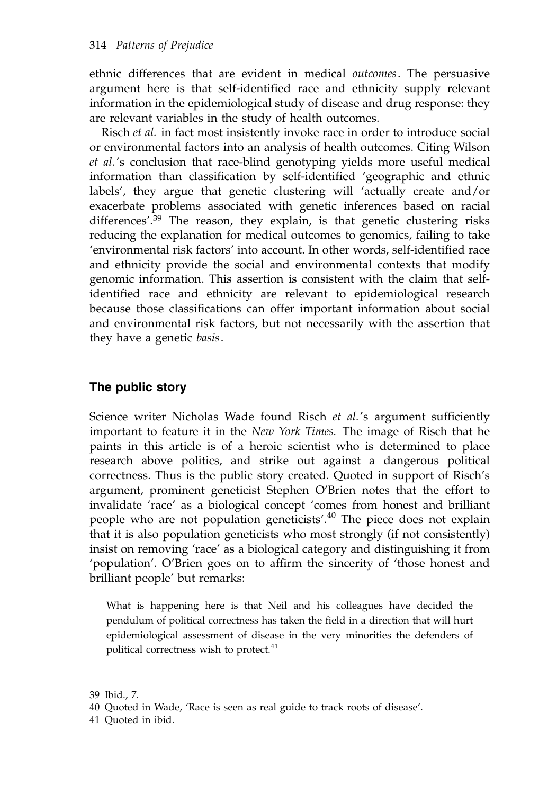ethnic differences that are evident in medical outcomes. The persuasive argument here is that self-identified race and ethnicity supply relevant information in the epidemiological study of disease and drug response: they are relevant variables in the study of health outcomes.

Risch et al. in fact most insistently invoke race in order to introduce social or environmental factors into an analysis of health outcomes. Citing Wilson et al.'s conclusion that race-blind genotyping yields more useful medical information than classification by self-identified 'geographic and ethnic labels', they argue that genetic clustering will 'actually create and/or exacerbate problems associated with genetic inferences based on racial differences'.<sup>39</sup> The reason, they explain, is that genetic clustering risks reducing the explanation for medical outcomes to genomics, failing to take 'environmental risk factors' into account. In other words, self-identified race and ethnicity provide the social and environmental contexts that modify genomic information. This assertion is consistent with the claim that selfidentified race and ethnicity are relevant to epidemiological research because those classifications can offer important information about social and environmental risk factors, but not necessarily with the assertion that they have a genetic basis.

## The public story

Science writer Nicholas Wade found Risch et al.'s argument sufficiently important to feature it in the New York Times. The image of Risch that he paints in this article is of a heroic scientist who is determined to place research above politics, and strike out against a dangerous political correctness. Thus is the public story created. Quoted in support of Risch's argument, prominent geneticist Stephen O'Brien notes that the effort to invalidate 'race' as a biological concept 'comes from honest and brilliant people who are not population geneticists'.<sup>40</sup> The piece does not explain that it is also population geneticists who most strongly (if not consistently) insist on removing 'race' as a biological category and distinguishing it from 'population'. O'Brien goes on to affirm the sincerity of 'those honest and brilliant people' but remarks:

What is happening here is that Neil and his colleagues have decided the pendulum of political correctness has taken the field in a direction that will hurt epidemiological assessment of disease in the very minorities the defenders of political correctness wish to protect.<sup>41</sup>

<sup>39</sup> Ibid., 7.

<sup>40</sup> Quoted in Wade, 'Race is seen as real guide to track roots of disease'.

<sup>41</sup> Quoted in ibid.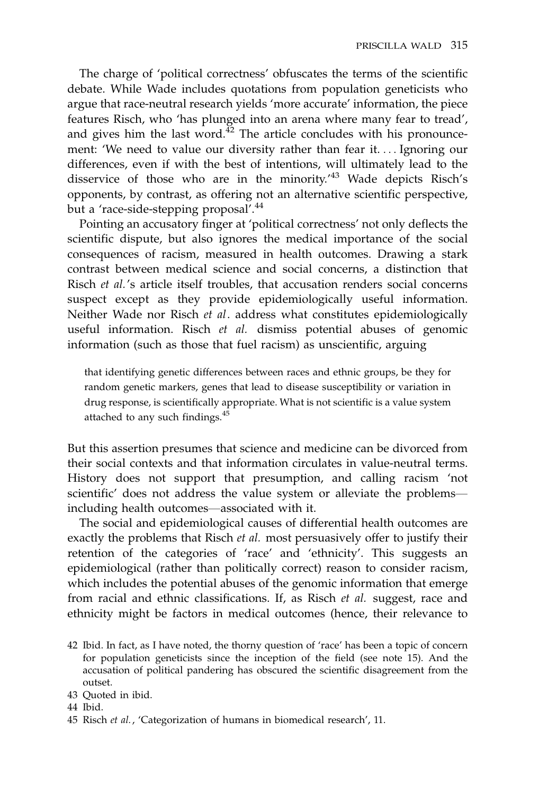The charge of 'political correctness' obfuscates the terms of the scientific debate. While Wade includes quotations from population geneticists who argue that race-neutral research yields 'more accurate' information, the piece features Risch, who 'has plunged into an arena where many fear to tread', and gives him the last word. $^{42}$  The article concludes with his pronouncement: 'We need to value our diversity rather than fear it. ... Ignoring our differences, even if with the best of intentions, will ultimately lead to the disservice of those who are in the minority.'<sup>43</sup> Wade depicts Risch's opponents, by contrast, as offering not an alternative scientific perspective, but a 'race-side-stepping proposal'.<sup>44</sup>

Pointing an accusatory finger at 'political correctness' not only deflects the scientific dispute, but also ignores the medical importance of the social consequences of racism, measured in health outcomes. Drawing a stark contrast between medical science and social concerns, a distinction that Risch et al.'s article itself troubles, that accusation renders social concerns suspect except as they provide epidemiologically useful information. Neither Wade nor Risch et al. address what constitutes epidemiologically useful information. Risch et al. dismiss potential abuses of genomic information (such as those that fuel racism) as unscientific, arguing

that identifying genetic differences between races and ethnic groups, be they for random genetic markers, genes that lead to disease susceptibility or variation in drug response, is scientifically appropriate. What is not scientific is a value system attached to any such findings.<sup>45</sup>

But this assertion presumes that science and medicine can be divorced from their social contexts and that information circulates in value-neutral terms. History does not support that presumption, and calling racism 'not scientific' does not address the value system or alleviate the problems-including health outcomes—associated with it.

The social and epidemiological causes of differential health outcomes are exactly the problems that Risch *et al.* most persuasively offer to justify their retention of the categories of 'race' and 'ethnicity'. This suggests an epidemiological (rather than politically correct) reason to consider racism, which includes the potential abuses of the genomic information that emerge from racial and ethnic classifications. If, as Risch et al. suggest, race and ethnicity might be factors in medical outcomes (hence, their relevance to

<sup>42</sup> Ibid. In fact, as I have noted, the thorny question of 'race' has been a topic of concern for population geneticists since the inception of the field (see note 15). And the accusation of political pandering has obscured the scientific disagreement from the outset.

<sup>43</sup> Quoted in ibid.

<sup>44</sup> Ibid.

<sup>45</sup> Risch et al., 'Categorization of humans in biomedical research', 11.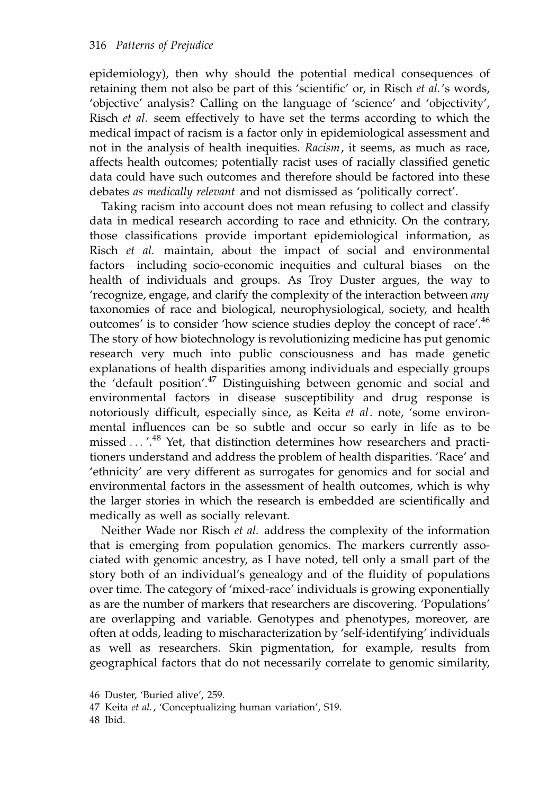epidemiology), then why should the potential medical consequences of retaining them not also be part of this 'scientific' or, in Risch et al.'s words, 'objective' analysis? Calling on the language of 'science' and 'objectivity', Risch et al. seem effectively to have set the terms according to which the medical impact of racism is a factor only in epidemiological assessment and not in the analysis of health inequities. Racism, it seems, as much as race, affects health outcomes; potentially racist uses of racially classified genetic data could have such outcomes and therefore should be factored into these debates as medically relevant and not dismissed as 'politically correct'.

Taking racism into account does not mean refusing to collect and classify data in medical research according to race and ethnicity. On the contrary, those classifications provide important epidemiological information, as Risch et al. maintain, about the impact of social and environmental factors—including socio-economic inequities and cultural biases—on the health of individuals and groups. As Troy Duster argues, the way to 'recognize, engage, and clarify the complexity of the interaction between any taxonomies of race and biological, neurophysiological, society, and health outcomes' is to consider 'how science studies deploy the concept of race'.<sup>46</sup> The story of how biotechnology is revolutionizing medicine has put genomic research very much into public consciousness and has made genetic explanations of health disparities among individuals and especially groups the 'default position'.47 Distinguishing between genomic and social and environmental factors in disease susceptibility and drug response is notoriously difficult, especially since, as Keita et al. note, 'some environmental influences can be so subtle and occur so early in life as to be missed ... '.<sup>48</sup> Yet, that distinction determines how researchers and practitioners understand and address the problem of health disparities. 'Race' and 'ethnicity' are very different as surrogates for genomics and for social and environmental factors in the assessment of health outcomes, which is why the larger stories in which the research is embedded are scientifically and medically as well as socially relevant.

Neither Wade nor Risch et al. address the complexity of the information that is emerging from population genomics. The markers currently associated with genomic ancestry, as I have noted, tell only a small part of the story both of an individual's genealogy and of the fluidity of populations over time. The category of 'mixed-race' individuals is growing exponentially as are the number of markers that researchers are discovering. 'Populations' are overlapping and variable. Genotypes and phenotypes, moreover, are often at odds, leading to mischaracterization by 'self-identifying' individuals as well as researchers. Skin pigmentation, for example, results from geographical factors that do not necessarily correlate to genomic similarity,

<sup>46</sup> Duster, 'Buried alive', 259.

<sup>47</sup> Keita et al., 'Conceptualizing human variation', S19.

<sup>48</sup> Ibid.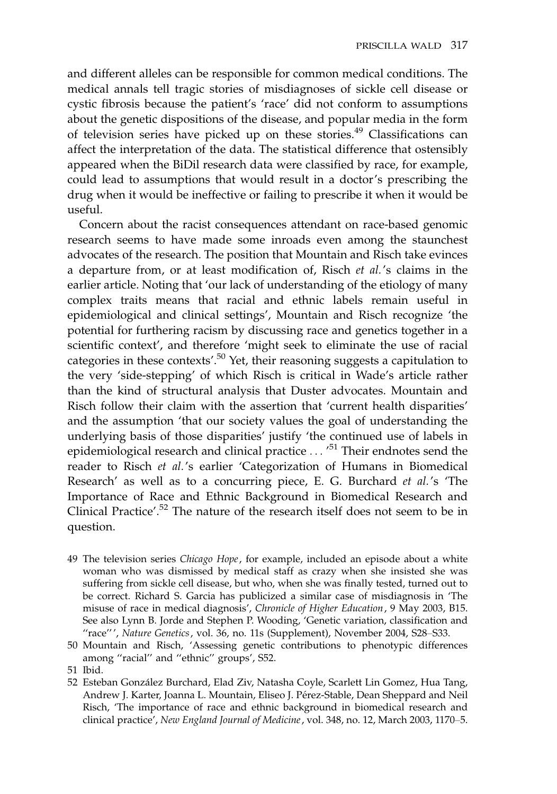and different alleles can be responsible for common medical conditions. The medical annals tell tragic stories of misdiagnoses of sickle cell disease or cystic fibrosis because the patient's 'race' did not conform to assumptions about the genetic dispositions of the disease, and popular media in the form of television series have picked up on these stories.<sup>49</sup> Classifications can affect the interpretation of the data. The statistical difference that ostensibly appeared when the BiDil research data were classified by race, for example, could lead to assumptions that would result in a doctor's prescribing the drug when it would be ineffective or failing to prescribe it when it would be useful.

Concern about the racist consequences attendant on race-based genomic research seems to have made some inroads even among the staunchest advocates of the research. The position that Mountain and Risch take evinces a departure from, or at least modification of, Risch et al.'s claims in the earlier article. Noting that 'our lack of understanding of the etiology of many complex traits means that racial and ethnic labels remain useful in epidemiological and clinical settings', Mountain and Risch recognize 'the potential for furthering racism by discussing race and genetics together in a scientific context', and therefore 'might seek to eliminate the use of racial categories in these contexts'.<sup>50</sup> Yet, their reasoning suggests a capitulation to the very 'side-stepping' of which Risch is critical in Wade's article rather than the kind of structural analysis that Duster advocates. Mountain and Risch follow their claim with the assertion that 'current health disparities' and the assumption 'that our society values the goal of understanding the underlying basis of those disparities' justify 'the continued use of labels in epidemiological research and clinical practice ... '<sup>51</sup> Their endnotes send the reader to Risch et al.'s earlier 'Categorization of Humans in Biomedical Research' as well as to a concurring piece, E. G. Burchard et al.'s 'The Importance of Race and Ethnic Background in Biomedical Research and Clinical Practice'.<sup>52</sup> The nature of the research itself does not seem to be in question.

- 49 The television series Chicago Hope, for example, included an episode about a white woman who was dismissed by medical staff as crazy when she insisted she was suffering from sickle cell disease, but who, when she was finally tested, turned out to be correct. Richard S. Garcia has publicized a similar case of misdiagnosis in 'The misuse of race in medical diagnosis', Chronicle of Higher Education, 9 May 2003, B15. See also Lynn B. Jorde and Stephen P. Wooding, 'Genetic variation, classification and "race"', Nature Genetics, vol. 36, no. 11s (Supplement), November 2004, S28-S33.
- 50 Mountain and Risch, 'Assessing genetic contributions to phenotypic differences among ''racial'' and ''ethnic'' groups', S52.
- 51 Ibid.
- 52 Esteban Gonza´lez Burchard, Elad Ziv, Natasha Coyle, Scarlett Lin Gomez, Hua Tang, Andrew J. Karter, Joanna L. Mountain, Eliseo J. Pérez-Stable, Dean Sheppard and Neil Risch, 'The importance of race and ethnic background in biomedical research and clinical practice', New England Journal of Medicine, vol. 348, no. 12, March 2003, 1170-5.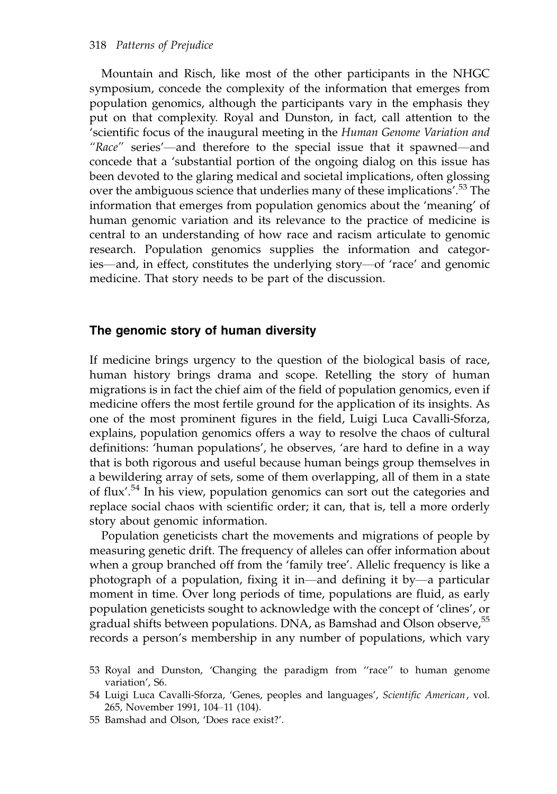Mountain and Risch, like most of the other participants in the NHGC symposium, concede the complexity of the information that emerges from population genomics, although the participants vary in the emphasis they put on that complexity. Royal and Dunston, in fact, call attention to the 'scientific focus of the inaugural meeting in the Human Genome Variation and "Race" series'—and therefore to the special issue that it spawned—and concede that a 'substantial portion of the ongoing dialog on this issue has been devoted to the glaring medical and societal implications, often glossing over the ambiguous science that underlies many of these implications'.<sup>53</sup> The information that emerges from population genomics about the 'meaning' of human genomic variation and its relevance to the practice of medicine is central to an understanding of how race and racism articulate to genomic research. Population genomics supplies the information and categories—and, in effect, constitutes the underlying story—of 'race' and genomic medicine. That story needs to be part of the discussion.

#### The genomic story of human diversity

If medicine brings urgency to the question of the biological basis of race, human history brings drama and scope. Retelling the story of human migrations is in fact the chief aim of the field of population genomics, even if medicine offers the most fertile ground for the application of its insights. As one of the most prominent figures in the field, Luigi Luca Cavalli-Sforza, explains, population genomics offers a way to resolve the chaos of cultural definitions: 'human populations', he observes, 'are hard to define in a way that is both rigorous and useful because human beings group themselves in a bewildering array of sets, some of them overlapping, all of them in a state of flux'.<sup>54</sup> In his view, population genomics can sort out the categories and replace social chaos with scientific order; it can, that is, tell a more orderly story about genomic information.

Population geneticists chart the movements and migrations of people by measuring genetic drift. The frequency of alleles can offer information about when a group branched off from the 'family tree'. Allelic frequency is like a photograph of a population, fixing it in—and defining it by—a particular moment in time. Over long periods of time, populations are fluid, as early population geneticists sought to acknowledge with the concept of 'clines', or gradual shifts between populations. DNA, as Bamshad and Olson observe,  $55$ records a person's membership in any number of populations, which vary

<sup>53</sup> Royal and Dunston, 'Changing the paradigm from ''race'' to human genome variation', S6.

<sup>54</sup> Luigi Luca Cavalli-Sforza, 'Genes, peoples and languages', Scientific American, vol. 265, November 1991, 104-11 (104).

<sup>55</sup> Bamshad and Olson, 'Does race exist?'.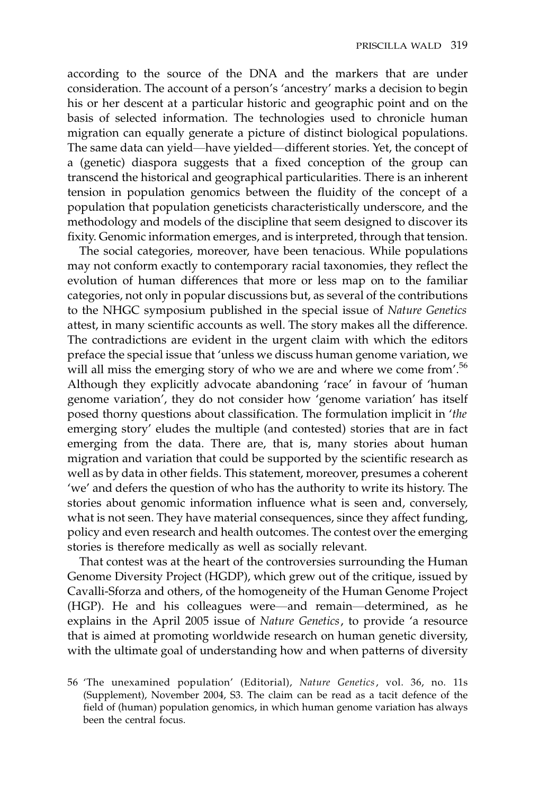according to the source of the DNA and the markers that are under consideration. The account of a person's 'ancestry' marks a decision to begin his or her descent at a particular historic and geographic point and on the basis of selected information. The technologies used to chronicle human migration can equally generate a picture of distinct biological populations. The same data can yield-have yielded-different stories. Yet, the concept of a (genetic) diaspora suggests that a fixed conception of the group can transcend the historical and geographical particularities. There is an inherent tension in population genomics between the fluidity of the concept of a population that population geneticists characteristically underscore, and the methodology and models of the discipline that seem designed to discover its fixity. Genomic information emerges, and is interpreted, through that tension.

The social categories, moreover, have been tenacious. While populations may not conform exactly to contemporary racial taxonomies, they reflect the evolution of human differences that more or less map on to the familiar categories, not only in popular discussions but, as several of the contributions to the NHGC symposium published in the special issue of Nature Genetics attest, in many scientific accounts as well. The story makes all the difference. The contradictions are evident in the urgent claim with which the editors preface the special issue that 'unless we discuss human genome variation, we will all miss the emerging story of who we are and where we come from'.<sup>56</sup> Although they explicitly advocate abandoning 'race' in favour of 'human genome variation', they do not consider how 'genome variation' has itself posed thorny questions about classification. The formulation implicit in 'the emerging story' eludes the multiple (and contested) stories that are in fact emerging from the data. There are, that is, many stories about human migration and variation that could be supported by the scientific research as well as by data in other fields. This statement, moreover, presumes a coherent 'we' and defers the question of who has the authority to write its history. The stories about genomic information influence what is seen and, conversely, what is not seen. They have material consequences, since they affect funding, policy and even research and health outcomes. The contest over the emerging stories is therefore medically as well as socially relevant.

That contest was at the heart of the controversies surrounding the Human Genome Diversity Project (HGDP), which grew out of the critique, issued by Cavalli-Sforza and others, of the homogeneity of the Human Genome Project (HGP). He and his colleagues were—and remain—determined, as he explains in the April 2005 issue of Nature Genetics, to provide 'a resource that is aimed at promoting worldwide research on human genetic diversity, with the ultimate goal of understanding how and when patterns of diversity

<sup>56 &#</sup>x27;The unexamined population' (Editorial), Nature Genetics, vol. 36, no. 11s (Supplement), November 2004, S3. The claim can be read as a tacit defence of the field of (human) population genomics, in which human genome variation has always been the central focus.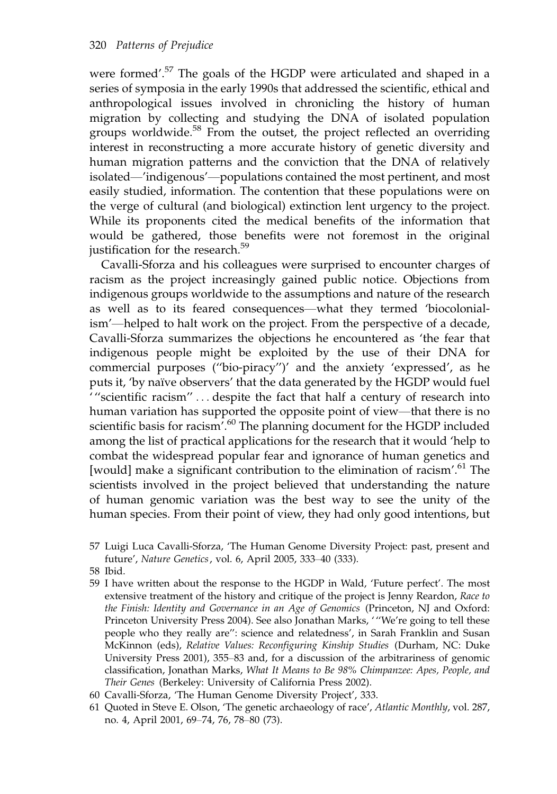were formed'.57 The goals of the HGDP were articulated and shaped in a series of symposia in the early 1990s that addressed the scientific, ethical and anthropological issues involved in chronicling the history of human migration by collecting and studying the DNA of isolated population groups worldwide.<sup>58</sup> From the outset, the project reflected an overriding interest in reconstructing a more accurate history of genetic diversity and human migration patterns and the conviction that the DNA of relatively isolated—'indigenous'—populations contained the most pertinent, and most easily studied, information. The contention that these populations were on the verge of cultural (and biological) extinction lent urgency to the project. While its proponents cited the medical benefits of the information that would be gathered, those benefits were not foremost in the original justification for the research.<sup>59</sup>

Cavalli-Sforza and his colleagues were surprised to encounter charges of racism as the project increasingly gained public notice. Objections from indigenous groups worldwide to the assumptions and nature of the research as well as to its feared consequences—what they termed 'biocolonialism'—helped to halt work on the project. From the perspective of a decade, Cavalli-Sforza summarizes the objections he encountered as 'the fear that indigenous people might be exploited by the use of their DNA for commercial purposes (''bio-piracy'')' and the anxiety 'expressed', as he puts it, 'by naïve observers' that the data generated by the HGDP would fuel ' ''scientific racism'' ... despite the fact that half a century of research into human variation has supported the opposite point of view-that there is no scientific basis for racism'.<sup>60</sup> The planning document for the HGDP included among the list of practical applications for the research that it would 'help to combat the widespread popular fear and ignorance of human genetics and [would] make a significant contribution to the elimination of racism'.<sup>61</sup> The scientists involved in the project believed that understanding the nature of human genomic variation was the best way to see the unity of the human species. From their point of view, they had only good intentions, but

- 58 Ibid.
- 59 I have written about the response to the HGDP in Wald, 'Future perfect'. The most extensive treatment of the history and critique of the project is Jenny Reardon, Race to the Finish: Identity and Governance in an Age of Genomics (Princeton, NJ and Oxford: Princeton University Press 2004). See also Jonathan Marks, ' ''We're going to tell these people who they really are'': science and relatedness', in Sarah Franklin and Susan McKinnon (eds), Relative Values: Reconfiguring Kinship Studies (Durham, NC: Duke University Press 2001), 355-83 and, for a discussion of the arbitrariness of genomic classification, Jonathan Marks, What It Means to Be 98% Chimpanzee: Apes, People, and Their Genes (Berkeley: University of California Press 2002).
- 60 Cavalli-Sforza, 'The Human Genome Diversity Project', 333.
- 61 Quoted in Steve E. Olson, 'The genetic archaeology of race', Atlantic Monthly, vol. 287, no. 4, April 2001, 69-74, 76, 78-80 (73).

<sup>57</sup> Luigi Luca Cavalli-Sforza, 'The Human Genome Diversity Project: past, present and future', Nature Genetics, vol. 6, April 2005, 333-40 (333).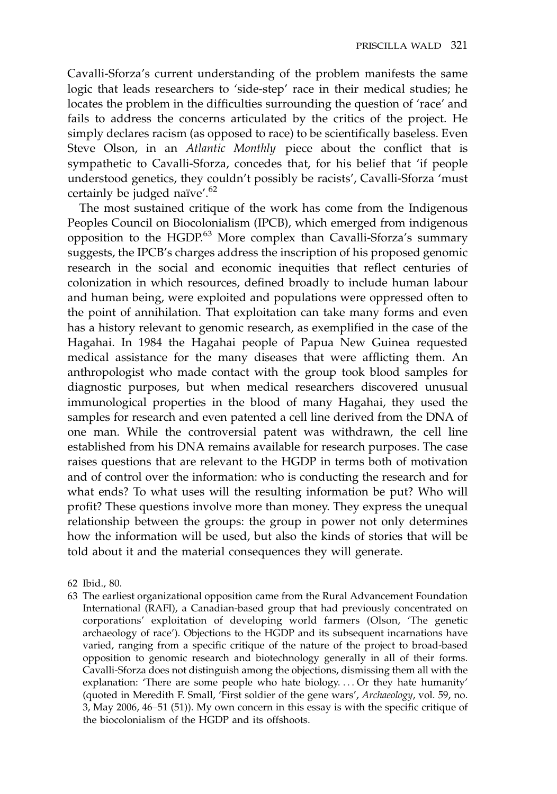Cavalli-Sforza's current understanding of the problem manifests the same logic that leads researchers to 'side-step' race in their medical studies; he locates the problem in the difficulties surrounding the question of 'race' and fails to address the concerns articulated by the critics of the project. He simply declares racism (as opposed to race) to be scientifically baseless. Even Steve Olson, in an Atlantic Monthly piece about the conflict that is sympathetic to Cavalli-Sforza, concedes that, for his belief that 'if people understood genetics, they couldn't possibly be racists', Cavalli-Sforza 'must certainly be judged naïve'. $62$ 

The most sustained critique of the work has come from the Indigenous Peoples Council on Biocolonialism (IPCB), which emerged from indigenous opposition to the HGDP.63 More complex than Cavalli-Sforza's summary suggests, the IPCB's charges address the inscription of his proposed genomic research in the social and economic inequities that reflect centuries of colonization in which resources, defined broadly to include human labour and human being, were exploited and populations were oppressed often to the point of annihilation. That exploitation can take many forms and even has a history relevant to genomic research, as exemplified in the case of the Hagahai. In 1984 the Hagahai people of Papua New Guinea requested medical assistance for the many diseases that were afflicting them. An anthropologist who made contact with the group took blood samples for diagnostic purposes, but when medical researchers discovered unusual immunological properties in the blood of many Hagahai, they used the samples for research and even patented a cell line derived from the DNA of one man. While the controversial patent was withdrawn, the cell line established from his DNA remains available for research purposes. The case raises questions that are relevant to the HGDP in terms both of motivation and of control over the information: who is conducting the research and for what ends? To what uses will the resulting information be put? Who will profit? These questions involve more than money. They express the unequal relationship between the groups: the group in power not only determines how the information will be used, but also the kinds of stories that will be told about it and the material consequences they will generate.

62 Ibid., 80.

63 The earliest organizational opposition came from the Rural Advancement Foundation International (RAFI), a Canadian-based group that had previously concentrated on corporations' exploitation of developing world farmers (Olson, 'The genetic archaeology of race'). Objections to the HGDP and its subsequent incarnations have varied, ranging from a specific critique of the nature of the project to broad-based opposition to genomic research and biotechnology generally in all of their forms. Cavalli-Sforza does not distinguish among the objections, dismissing them all with the explanation: 'There are some people who hate biology. ... Or they hate humanity' (quoted in Meredith F. Small, 'First soldier of the gene wars', Archaeology, vol. 59, no. 3, May 2006,  $46-51$  (51)). My own concern in this essay is with the specific critique of the biocolonialism of the HGDP and its offshoots.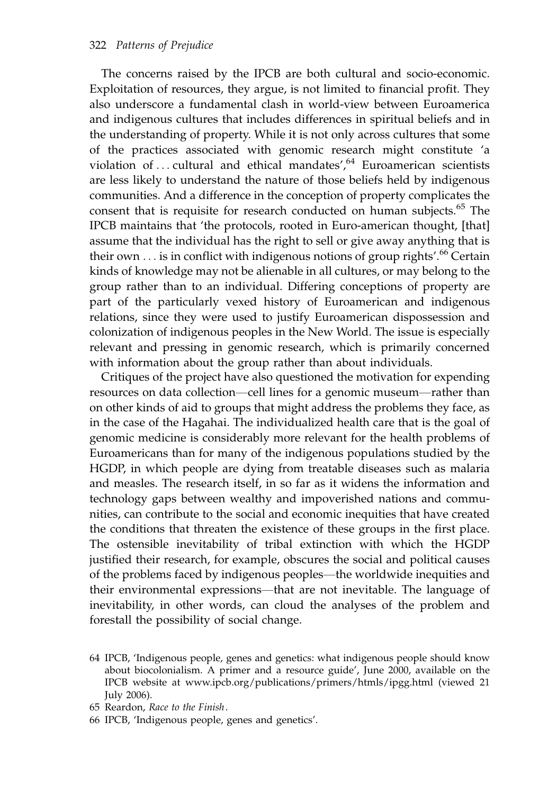The concerns raised by the IPCB are both cultural and socio-economic. Exploitation of resources, they argue, is not limited to financial profit. They also underscore a fundamental clash in world-view between Euroamerica and indigenous cultures that includes differences in spiritual beliefs and in the understanding of property. While it is not only across cultures that some of the practices associated with genomic research might constitute 'a violation of ... cultural and ethical mandates',<sup>64</sup> Euroamerican scientists are less likely to understand the nature of those beliefs held by indigenous communities. And a difference in the conception of property complicates the consent that is requisite for research conducted on human subjects.<sup>65</sup> The IPCB maintains that 'the protocols, rooted in Euro-american thought, [that] assume that the individual has the right to sell or give away anything that is their own  $\dots$  is in conflict with indigenous notions of group rights'.<sup>66</sup> Certain kinds of knowledge may not be alienable in all cultures, or may belong to the group rather than to an individual. Differing conceptions of property are part of the particularly vexed history of Euroamerican and indigenous relations, since they were used to justify Euroamerican dispossession and colonization of indigenous peoples in the New World. The issue is especially relevant and pressing in genomic research, which is primarily concerned with information about the group rather than about individuals.

Critiques of the project have also questioned the motivation for expending resources on data collection—cell lines for a genomic museum—rather than on other kinds of aid to groups that might address the problems they face, as in the case of the Hagahai. The individualized health care that is the goal of genomic medicine is considerably more relevant for the health problems of Euroamericans than for many of the indigenous populations studied by the HGDP, in which people are dying from treatable diseases such as malaria and measles. The research itself, in so far as it widens the information and technology gaps between wealthy and impoverished nations and communities, can contribute to the social and economic inequities that have created the conditions that threaten the existence of these groups in the first place. The ostensible inevitability of tribal extinction with which the HGDP justified their research, for example, obscures the social and political causes of the problems faced by indigenous peoples\*/the worldwide inequities and their environmental expressions—that are not inevitable. The language of inevitability, in other words, can cloud the analyses of the problem and forestall the possibility of social change.

64 IPCB, 'Indigenous people, genes and genetics: what indigenous people should know about biocolonialism. A primer and a resource guide', June 2000, available on the IPCB website at www.ipcb.org/publications/primers/htmls/ipgg.html (viewed 21 July 2006).

66 IPCB, 'Indigenous people, genes and genetics'.

<sup>65</sup> Reardon, Race to the Finish.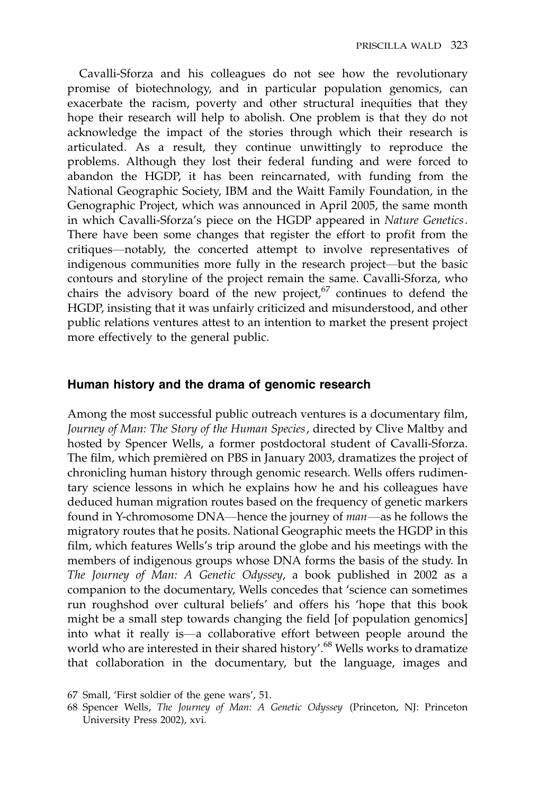Cavalli-Sforza and his colleagues do not see how the revolutionary promise of biotechnology, and in particular population genomics, can exacerbate the racism, poverty and other structural inequities that they hope their research will help to abolish. One problem is that they do not acknowledge the impact of the stories through which their research is articulated. As a result, they continue unwittingly to reproduce the problems. Although they lost their federal funding and were forced to abandon the HGDP, it has been reincarnated, with funding from the National Geographic Society, IBM and the Waitt Family Foundation, in the Genographic Project, which was announced in April 2005, the same month in which Cavalli-Sforza's piece on the HGDP appeared in Nature Genetics. There have been some changes that register the effort to profit from the critiques\*/notably, the concerted attempt to involve representatives of indigenous communities more fully in the research project—but the basic contours and storyline of the project remain the same. Cavalli-Sforza, who chairs the advisory board of the new project, $67$  continues to defend the HGDP, insisting that it was unfairly criticized and misunderstood, and other public relations ventures attest to an intention to market the present project more effectively to the general public.

### Human history and the drama of genomic research

Among the most successful public outreach ventures is a documentary film, Journey of Man: The Story of the Human Species, directed by Clive Maltby and hosted by Spencer Wells, a former postdoctoral student of Cavalli-Sforza. The film, which premièred on PBS in January 2003, dramatizes the project of chronicling human history through genomic research. Wells offers rudimentary science lessons in which he explains how he and his colleagues have deduced human migration routes based on the frequency of genetic markers found in Y-chromosome DNA—hence the journey of *man*—as he follows the migratory routes that he posits. National Geographic meets the HGDP in this film, which features Wells's trip around the globe and his meetings with the members of indigenous groups whose DNA forms the basis of the study. In The Journey of Man: A Genetic Odyssey, a book published in 2002 as a companion to the documentary, Wells concedes that 'science can sometimes run roughshod over cultural beliefs' and offers his 'hope that this book might be a small step towards changing the field [of population genomics] into what it really is—a collaborative effort between people around the world who are interested in their shared history'.<sup>68</sup> Wells works to dramatize that collaboration in the documentary, but the language, images and

<sup>67</sup> Small, 'First soldier of the gene wars', 51.

<sup>68</sup> Spencer Wells, The Journey of Man: A Genetic Odyssey (Princeton, NJ: Princeton University Press 2002), xvi.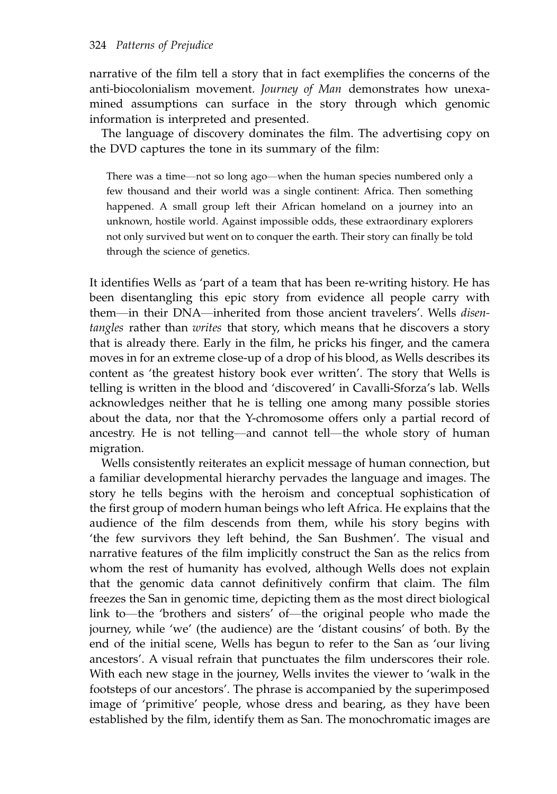narrative of the film tell a story that in fact exemplifies the concerns of the anti-biocolonialism movement. Journey of Man demonstrates how unexamined assumptions can surface in the story through which genomic information is interpreted and presented.

The language of discovery dominates the film. The advertising copy on the DVD captures the tone in its summary of the film:

There was a time—not so long ago—when the human species numbered only a few thousand and their world was a single continent: Africa. Then something happened. A small group left their African homeland on a journey into an unknown, hostile world. Against impossible odds, these extraordinary explorers not only survived but went on to conquer the earth. Their story can finally be told through the science of genetics.

It identifies Wells as 'part of a team that has been re-writing history. He has been disentangling this epic story from evidence all people carry with them—in their DNA—inherited from those ancient travelers'. Wells *disen*tangles rather than writes that story, which means that he discovers a story that is already there. Early in the film, he pricks his finger, and the camera moves in for an extreme close-up of a drop of his blood, as Wells describes its content as 'the greatest history book ever written'. The story that Wells is telling is written in the blood and 'discovered' in Cavalli-Sforza's lab. Wells acknowledges neither that he is telling one among many possible stories about the data, nor that the Y-chromosome offers only a partial record of ancestry. He is not telling—and cannot tell—the whole story of human migration.

Wells consistently reiterates an explicit message of human connection, but a familiar developmental hierarchy pervades the language and images. The story he tells begins with the heroism and conceptual sophistication of the first group of modern human beings who left Africa. He explains that the audience of the film descends from them, while his story begins with 'the few survivors they left behind, the San Bushmen'. The visual and narrative features of the film implicitly construct the San as the relics from whom the rest of humanity has evolved, although Wells does not explain that the genomic data cannot definitively confirm that claim. The film freezes the San in genomic time, depicting them as the most direct biological link to—the 'brothers and sisters' of—the original people who made the journey, while 'we' (the audience) are the 'distant cousins' of both. By the end of the initial scene, Wells has begun to refer to the San as 'our living ancestors'. A visual refrain that punctuates the film underscores their role. With each new stage in the journey, Wells invites the viewer to 'walk in the footsteps of our ancestors'. The phrase is accompanied by the superimposed image of 'primitive' people, whose dress and bearing, as they have been established by the film, identify them as San. The monochromatic images are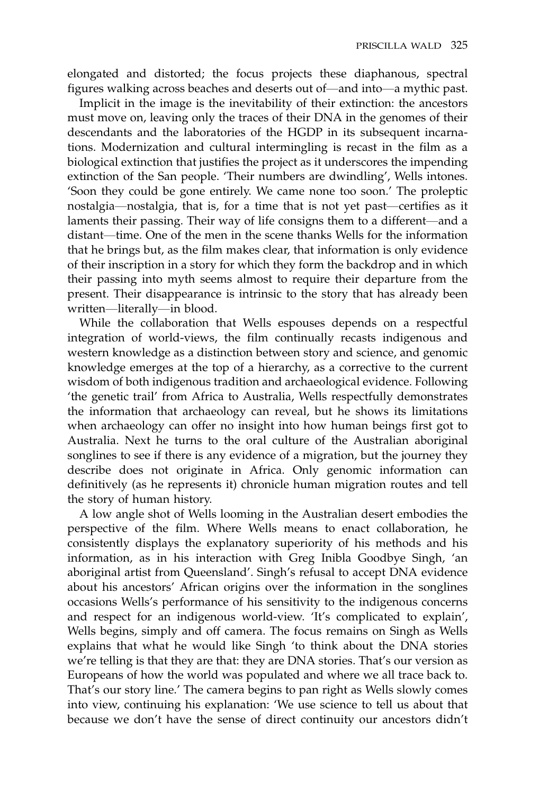elongated and distorted; the focus projects these diaphanous, spectral figures walking across beaches and deserts out of—and into—a mythic past.

Implicit in the image is the inevitability of their extinction: the ancestors must move on, leaving only the traces of their DNA in the genomes of their descendants and the laboratories of the HGDP in its subsequent incarnations. Modernization and cultural intermingling is recast in the film as a biological extinction that justifies the project as it underscores the impending extinction of the San people. 'Their numbers are dwindling', Wells intones. 'Soon they could be gone entirely. We came none too soon.' The proleptic nostalgia---nostalgia, that is, for a time that is not yet past---certifies as it laments their passing. Their way of life consigns them to a different—and a distant—time. One of the men in the scene thanks Wells for the information that he brings but, as the film makes clear, that information is only evidence of their inscription in a story for which they form the backdrop and in which their passing into myth seems almost to require their departure from the present. Their disappearance is intrinsic to the story that has already been written-literally-in blood.

While the collaboration that Wells espouses depends on a respectful integration of world-views, the film continually recasts indigenous and western knowledge as a distinction between story and science, and genomic knowledge emerges at the top of a hierarchy, as a corrective to the current wisdom of both indigenous tradition and archaeological evidence. Following 'the genetic trail' from Africa to Australia, Wells respectfully demonstrates the information that archaeology can reveal, but he shows its limitations when archaeology can offer no insight into how human beings first got to Australia. Next he turns to the oral culture of the Australian aboriginal songlines to see if there is any evidence of a migration, but the journey they describe does not originate in Africa. Only genomic information can definitively (as he represents it) chronicle human migration routes and tell the story of human history.

A low angle shot of Wells looming in the Australian desert embodies the perspective of the film. Where Wells means to enact collaboration, he consistently displays the explanatory superiority of his methods and his information, as in his interaction with Greg Inibla Goodbye Singh, 'an aboriginal artist from Queensland'. Singh's refusal to accept DNA evidence about his ancestors' African origins over the information in the songlines occasions Wells's performance of his sensitivity to the indigenous concerns and respect for an indigenous world-view. 'It's complicated to explain', Wells begins, simply and off camera. The focus remains on Singh as Wells explains that what he would like Singh 'to think about the DNA stories we're telling is that they are that: they are DNA stories. That's our version as Europeans of how the world was populated and where we all trace back to. That's our story line.' The camera begins to pan right as Wells slowly comes into view, continuing his explanation: 'We use science to tell us about that because we don't have the sense of direct continuity our ancestors didn't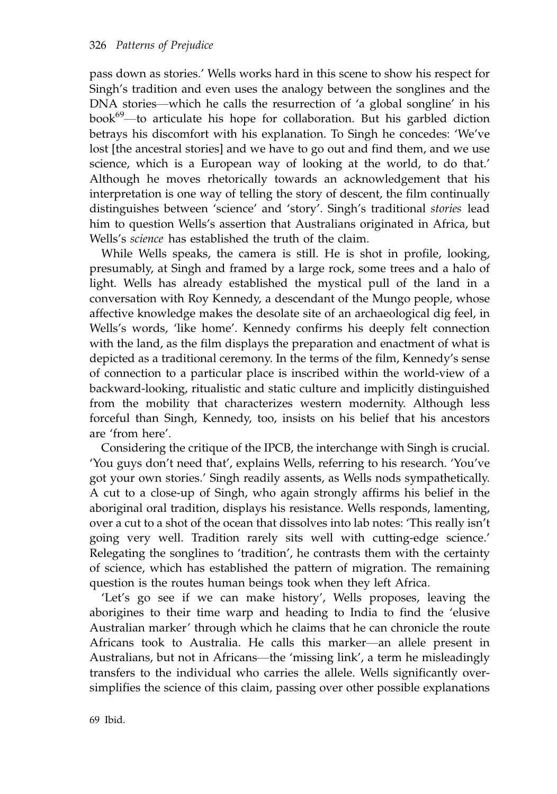pass down as stories.' Wells works hard in this scene to show his respect for Singh's tradition and even uses the analogy between the songlines and the DNA stories—which he calls the resurrection of 'a global songline' in his book $69$ —to articulate his hope for collaboration. But his garbled diction betrays his discomfort with his explanation. To Singh he concedes: 'We've lost [the ancestral stories] and we have to go out and find them, and we use science, which is a European way of looking at the world, to do that.' Although he moves rhetorically towards an acknowledgement that his interpretation is one way of telling the story of descent, the film continually distinguishes between 'science' and 'story'. Singh's traditional stories lead him to question Wells's assertion that Australians originated in Africa, but Wells's science has established the truth of the claim.

While Wells speaks, the camera is still. He is shot in profile, looking, presumably, at Singh and framed by a large rock, some trees and a halo of light. Wells has already established the mystical pull of the land in a conversation with Roy Kennedy, a descendant of the Mungo people, whose affective knowledge makes the desolate site of an archaeological dig feel, in Wells's words, 'like home'. Kennedy confirms his deeply felt connection with the land, as the film displays the preparation and enactment of what is depicted as a traditional ceremony. In the terms of the film, Kennedy's sense of connection to a particular place is inscribed within the world-view of a backward-looking, ritualistic and static culture and implicitly distinguished from the mobility that characterizes western modernity. Although less forceful than Singh, Kennedy, too, insists on his belief that his ancestors are 'from here'.

Considering the critique of the IPCB, the interchange with Singh is crucial. 'You guys don't need that', explains Wells, referring to his research. 'You've got your own stories.' Singh readily assents, as Wells nods sympathetically. A cut to a close-up of Singh, who again strongly affirms his belief in the aboriginal oral tradition, displays his resistance. Wells responds, lamenting, over a cut to a shot of the ocean that dissolves into lab notes: 'This really isn't going very well. Tradition rarely sits well with cutting-edge science.' Relegating the songlines to 'tradition', he contrasts them with the certainty of science, which has established the pattern of migration. The remaining question is the routes human beings took when they left Africa.

'Let's go see if we can make history', Wells proposes, leaving the aborigines to their time warp and heading to India to find the 'elusive Australian marker' through which he claims that he can chronicle the route Africans took to Australia. He calls this marker—an allele present in Australians, but not in Africans—the 'missing link', a term he misleadingly transfers to the individual who carries the allele. Wells significantly oversimplifies the science of this claim, passing over other possible explanations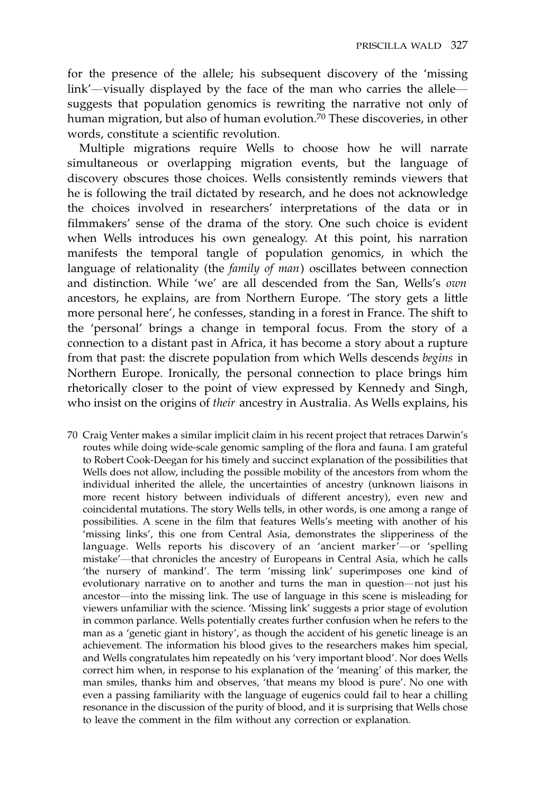for the presence of the allele; his subsequent discovery of the 'missing link'—visually displayed by the face of the man who carries the allele suggests that population genomics is rewriting the narrative not only of human migration, but also of human evolution.<sup>70</sup> These discoveries, in other words, constitute a scientific revolution.

Multiple migrations require Wells to choose how he will narrate simultaneous or overlapping migration events, but the language of discovery obscures those choices. Wells consistently reminds viewers that he is following the trail dictated by research, and he does not acknowledge the choices involved in researchers' interpretations of the data or in filmmakers' sense of the drama of the story. One such choice is evident when Wells introduces his own genealogy. At this point, his narration manifests the temporal tangle of population genomics, in which the language of relationality (the *family of man*) oscillates between connection and distinction. While 'we' are all descended from the San, Wells's own ancestors, he explains, are from Northern Europe. 'The story gets a little more personal here', he confesses, standing in a forest in France. The shift to the 'personal' brings a change in temporal focus. From the story of a connection to a distant past in Africa, it has become a story about a rupture from that past: the discrete population from which Wells descends begins in Northern Europe. Ironically, the personal connection to place brings him rhetorically closer to the point of view expressed by Kennedy and Singh, who insist on the origins of their ancestry in Australia. As Wells explains, his

70 Craig Venter makes a similar implicit claim in his recent project that retraces Darwin's routes while doing wide-scale genomic sampling of the flora and fauna. I am grateful to Robert Cook-Deegan for his timely and succinct explanation of the possibilities that Wells does not allow, including the possible mobility of the ancestors from whom the individual inherited the allele, the uncertainties of ancestry (unknown liaisons in more recent history between individuals of different ancestry), even new and coincidental mutations. The story Wells tells, in other words, is one among a range of possibilities. A scene in the film that features Wells's meeting with another of his 'missing links', this one from Central Asia, demonstrates the slipperiness of the language. Wells reports his discovery of an 'ancient marker'—or 'spelling mistake'—that chronicles the ancestry of Europeans in Central Asia, which he calls 'the nursery of mankind'. The term 'missing link' superimposes one kind of evolutionary narrative on to another and turns the man in question—not just his ancestor--- into the missing link. The use of language in this scene is misleading for viewers unfamiliar with the science. 'Missing link' suggests a prior stage of evolution in common parlance. Wells potentially creates further confusion when he refers to the man as a 'genetic giant in history', as though the accident of his genetic lineage is an achievement. The information his blood gives to the researchers makes him special, and Wells congratulates him repeatedly on his 'very important blood'. Nor does Wells correct him when, in response to his explanation of the 'meaning' of this marker, the man smiles, thanks him and observes, 'that means my blood is pure'. No one with even a passing familiarity with the language of eugenics could fail to hear a chilling resonance in the discussion of the purity of blood, and it is surprising that Wells chose to leave the comment in the film without any correction or explanation.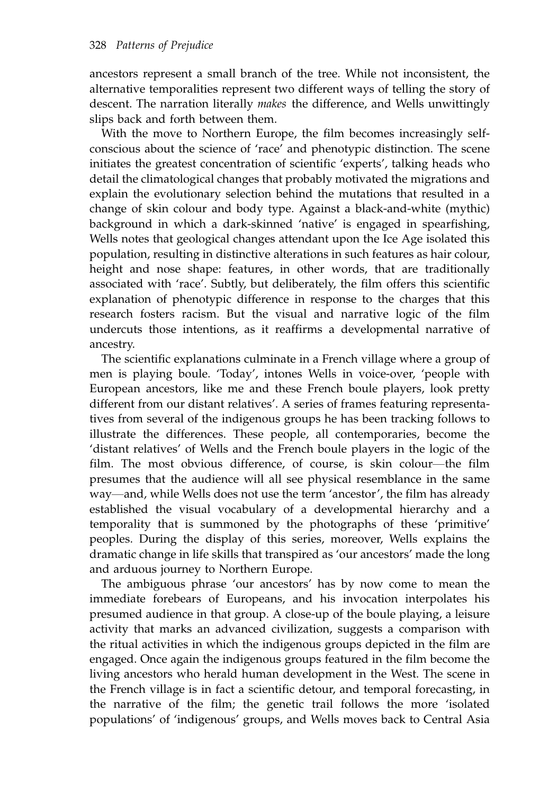ancestors represent a small branch of the tree. While not inconsistent, the alternative temporalities represent two different ways of telling the story of descent. The narration literally makes the difference, and Wells unwittingly slips back and forth between them.

With the move to Northern Europe, the film becomes increasingly selfconscious about the science of 'race' and phenotypic distinction. The scene initiates the greatest concentration of scientific 'experts', talking heads who detail the climatological changes that probably motivated the migrations and explain the evolutionary selection behind the mutations that resulted in a change of skin colour and body type. Against a black-and-white (mythic) background in which a dark-skinned 'native' is engaged in spearfishing, Wells notes that geological changes attendant upon the Ice Age isolated this population, resulting in distinctive alterations in such features as hair colour, height and nose shape: features, in other words, that are traditionally associated with 'race'. Subtly, but deliberately, the film offers this scientific explanation of phenotypic difference in response to the charges that this research fosters racism. But the visual and narrative logic of the film undercuts those intentions, as it reaffirms a developmental narrative of ancestry.

The scientific explanations culminate in a French village where a group of men is playing boule. 'Today', intones Wells in voice-over, 'people with European ancestors, like me and these French boule players, look pretty different from our distant relatives'. A series of frames featuring representatives from several of the indigenous groups he has been tracking follows to illustrate the differences. These people, all contemporaries, become the 'distant relatives' of Wells and the French boule players in the logic of the film. The most obvious difference, of course, is skin colour—the film presumes that the audience will all see physical resemblance in the same way—and, while Wells does not use the term 'ancestor', the film has already established the visual vocabulary of a developmental hierarchy and a temporality that is summoned by the photographs of these 'primitive' peoples. During the display of this series, moreover, Wells explains the dramatic change in life skills that transpired as 'our ancestors' made the long and arduous journey to Northern Europe.

The ambiguous phrase 'our ancestors' has by now come to mean the immediate forebears of Europeans, and his invocation interpolates his presumed audience in that group. A close-up of the boule playing, a leisure activity that marks an advanced civilization, suggests a comparison with the ritual activities in which the indigenous groups depicted in the film are engaged. Once again the indigenous groups featured in the film become the living ancestors who herald human development in the West. The scene in the French village is in fact a scientific detour, and temporal forecasting, in the narrative of the film; the genetic trail follows the more 'isolated populations' of 'indigenous' groups, and Wells moves back to Central Asia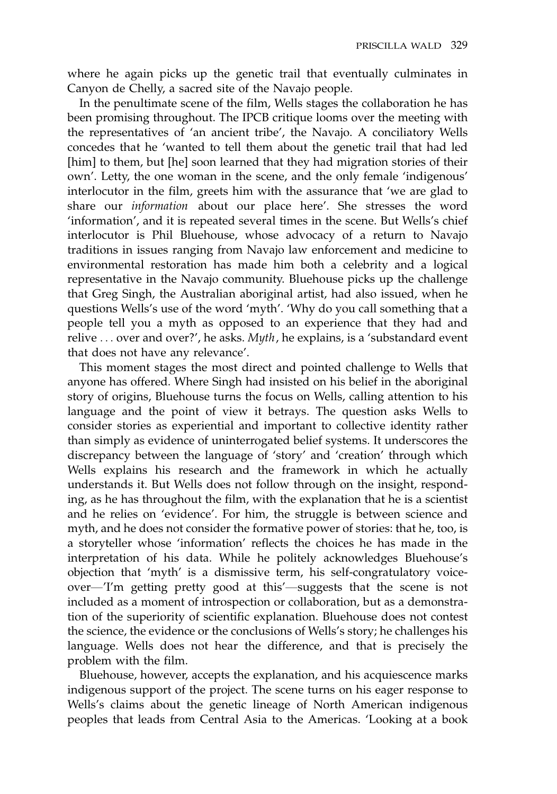where he again picks up the genetic trail that eventually culminates in Canyon de Chelly, a sacred site of the Navajo people.

In the penultimate scene of the film, Wells stages the collaboration he has been promising throughout. The IPCB critique looms over the meeting with the representatives of 'an ancient tribe', the Navajo. A conciliatory Wells concedes that he 'wanted to tell them about the genetic trail that had led [him] to them, but [he] soon learned that they had migration stories of their own'. Letty, the one woman in the scene, and the only female 'indigenous' interlocutor in the film, greets him with the assurance that 'we are glad to share our information about our place here'. She stresses the word 'information', and it is repeated several times in the scene. But Wells's chief interlocutor is Phil Bluehouse, whose advocacy of a return to Navajo traditions in issues ranging from Navajo law enforcement and medicine to environmental restoration has made him both a celebrity and a logical representative in the Navajo community. Bluehouse picks up the challenge that Greg Singh, the Australian aboriginal artist, had also issued, when he questions Wells's use of the word 'myth'. 'Why do you call something that a people tell you a myth as opposed to an experience that they had and relive ... over and over?', he asks. Myth, he explains, is a 'substandard event that does not have any relevance'.

This moment stages the most direct and pointed challenge to Wells that anyone has offered. Where Singh had insisted on his belief in the aboriginal story of origins, Bluehouse turns the focus on Wells, calling attention to his language and the point of view it betrays. The question asks Wells to consider stories as experiential and important to collective identity rather than simply as evidence of uninterrogated belief systems. It underscores the discrepancy between the language of 'story' and 'creation' through which Wells explains his research and the framework in which he actually understands it. But Wells does not follow through on the insight, responding, as he has throughout the film, with the explanation that he is a scientist and he relies on 'evidence'. For him, the struggle is between science and myth, and he does not consider the formative power of stories: that he, too, is a storyteller whose 'information' reflects the choices he has made in the interpretation of his data. While he politely acknowledges Bluehouse's objection that 'myth' is a dismissive term, his self-congratulatory voiceover-'I'm getting pretty good at this'-suggests that the scene is not included as a moment of introspection or collaboration, but as a demonstration of the superiority of scientific explanation. Bluehouse does not contest the science, the evidence or the conclusions of Wells's story; he challenges his language. Wells does not hear the difference, and that is precisely the problem with the film.

Bluehouse, however, accepts the explanation, and his acquiescence marks indigenous support of the project. The scene turns on his eager response to Wells's claims about the genetic lineage of North American indigenous peoples that leads from Central Asia to the Americas. 'Looking at a book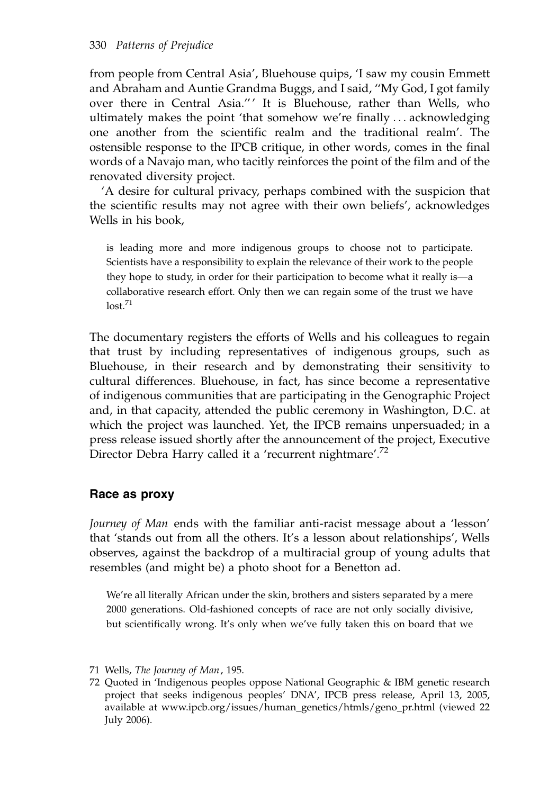from people from Central Asia', Bluehouse quips, 'I saw my cousin Emmett and Abraham and Auntie Grandma Buggs, and I said, ''My God, I got family over there in Central Asia.'' ' It is Bluehouse, rather than Wells, who ultimately makes the point 'that somehow we're finally ... acknowledging one another from the scientific realm and the traditional realm'. The ostensible response to the IPCB critique, in other words, comes in the final words of a Navajo man, who tacitly reinforces the point of the film and of the renovated diversity project.

'A desire for cultural privacy, perhaps combined with the suspicion that the scientific results may not agree with their own beliefs', acknowledges Wells in his book,

is leading more and more indigenous groups to choose not to participate. Scientists have a responsibility to explain the relevance of their work to the people they hope to study, in order for their participation to become what it really is—a collaborative research effort. Only then we can regain some of the trust we have  $\ln 71$ 

The documentary registers the efforts of Wells and his colleagues to regain that trust by including representatives of indigenous groups, such as Bluehouse, in their research and by demonstrating their sensitivity to cultural differences. Bluehouse, in fact, has since become a representative of indigenous communities that are participating in the Genographic Project and, in that capacity, attended the public ceremony in Washington, D.C. at which the project was launched. Yet, the IPCB remains unpersuaded; in a press release issued shortly after the announcement of the project, Executive Director Debra Harry called it a 'recurrent nightmare'.<sup>72</sup>

### Race as proxy

Journey of Man ends with the familiar anti-racist message about a 'lesson' that 'stands out from all the others. It's a lesson about relationships', Wells observes, against the backdrop of a multiracial group of young adults that resembles (and might be) a photo shoot for a Benetton ad.

We're all literally African under the skin, brothers and sisters separated by a mere 2000 generations. Old-fashioned concepts of race are not only socially divisive, but scientifically wrong. It's only when we've fully taken this on board that we

- 71 Wells, The Journey of Man, 195.
- 72 Quoted in 'Indigenous peoples oppose National Geographic & IBM genetic research project that seeks indigenous peoples' DNA', IPCB press release, April 13, 2005, available at www.ipcb.org/issues/human\_genetics/htmls/geno\_pr.html (viewed 22 July 2006).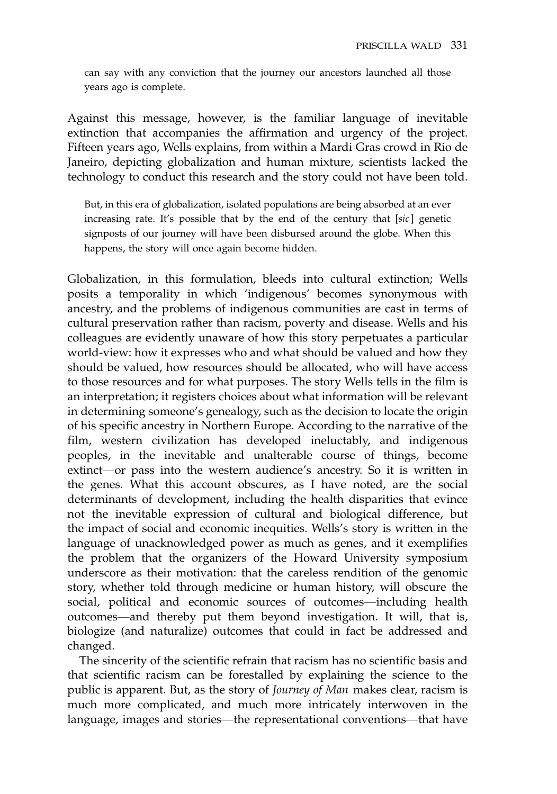can say with any conviction that the journey our ancestors launched all those years ago is complete.

Against this message, however, is the familiar language of inevitable extinction that accompanies the affirmation and urgency of the project. Fifteen years ago, Wells explains, from within a Mardi Gras crowd in Rio de Janeiro, depicting globalization and human mixture, scientists lacked the technology to conduct this research and the story could not have been told.

But, in this era of globalization, isolated populations are being absorbed at an ever increasing rate. It's possible that by the end of the century that [sic] genetic signposts of our journey will have been disbursed around the globe. When this happens, the story will once again become hidden.

Globalization, in this formulation, bleeds into cultural extinction; Wells posits a temporality in which 'indigenous' becomes synonymous with ancestry, and the problems of indigenous communities are cast in terms of cultural preservation rather than racism, poverty and disease. Wells and his colleagues are evidently unaware of how this story perpetuates a particular world-view: how it expresses who and what should be valued and how they should be valued, how resources should be allocated, who will have access to those resources and for what purposes. The story Wells tells in the film is an interpretation; it registers choices about what information will be relevant in determining someone's genealogy, such as the decision to locate the origin of his specific ancestry in Northern Europe. According to the narrative of the film, western civilization has developed ineluctably, and indigenous peoples, in the inevitable and unalterable course of things, become extinct—or pass into the western audience's ancestry. So it is written in the genes. What this account obscures, as I have noted, are the social determinants of development, including the health disparities that evince not the inevitable expression of cultural and biological difference, but the impact of social and economic inequities. Wells's story is written in the language of unacknowledged power as much as genes, and it exemplifies the problem that the organizers of the Howard University symposium underscore as their motivation: that the careless rendition of the genomic story, whether told through medicine or human history, will obscure the social, political and economic sources of outcomes-including health outcomes\*/and thereby put them beyond investigation. It will, that is, biologize (and naturalize) outcomes that could in fact be addressed and changed.

The sincerity of the scientific refrain that racism has no scientific basis and that scientific racism can be forestalled by explaining the science to the public is apparent. But, as the story of Journey of Man makes clear, racism is much more complicated, and much more intricately interwoven in the language, images and stories—the representational conventions—that have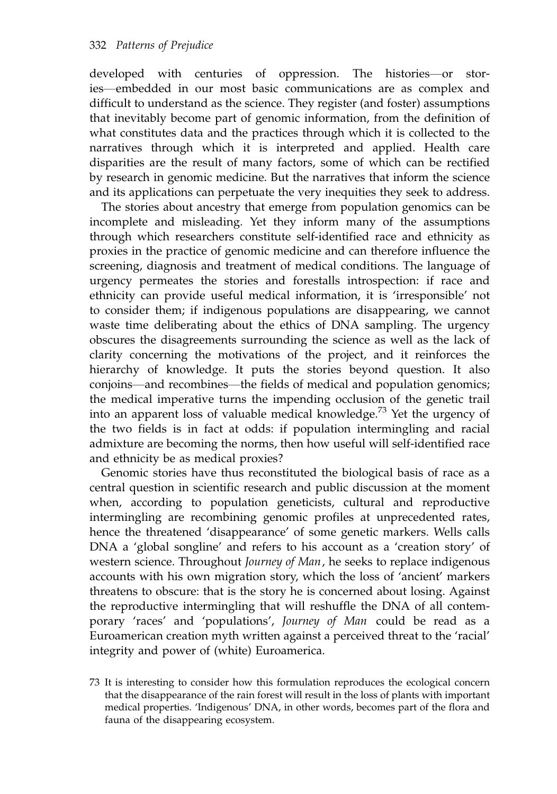developed with centuries of oppression. The histories—or stories---embedded in our most basic communications are as complex and difficult to understand as the science. They register (and foster) assumptions that inevitably become part of genomic information, from the definition of what constitutes data and the practices through which it is collected to the narratives through which it is interpreted and applied. Health care disparities are the result of many factors, some of which can be rectified by research in genomic medicine. But the narratives that inform the science and its applications can perpetuate the very inequities they seek to address.

The stories about ancestry that emerge from population genomics can be incomplete and misleading. Yet they inform many of the assumptions through which researchers constitute self-identified race and ethnicity as proxies in the practice of genomic medicine and can therefore influence the screening, diagnosis and treatment of medical conditions. The language of urgency permeates the stories and forestalls introspection: if race and ethnicity can provide useful medical information, it is 'irresponsible' not to consider them; if indigenous populations are disappearing, we cannot waste time deliberating about the ethics of DNA sampling. The urgency obscures the disagreements surrounding the science as well as the lack of clarity concerning the motivations of the project, and it reinforces the hierarchy of knowledge. It puts the stories beyond question. It also conjoins—and recombines—the fields of medical and population genomics; the medical imperative turns the impending occlusion of the genetic trail into an apparent loss of valuable medical knowledge.<sup>73</sup> Yet the urgency of the two fields is in fact at odds: if population intermingling and racial admixture are becoming the norms, then how useful will self-identified race and ethnicity be as medical proxies?

Genomic stories have thus reconstituted the biological basis of race as a central question in scientific research and public discussion at the moment when, according to population geneticists, cultural and reproductive intermingling are recombining genomic profiles at unprecedented rates, hence the threatened 'disappearance' of some genetic markers. Wells calls DNA a 'global songline' and refers to his account as a 'creation story' of western science. Throughout *Journey of Man*, he seeks to replace indigenous accounts with his own migration story, which the loss of 'ancient' markers threatens to obscure: that is the story he is concerned about losing. Against the reproductive intermingling that will reshuffle the DNA of all contemporary 'races' and 'populations', Journey of Man could be read as a Euroamerican creation myth written against a perceived threat to the 'racial' integrity and power of (white) Euroamerica.

73 It is interesting to consider how this formulation reproduces the ecological concern that the disappearance of the rain forest will result in the loss of plants with important medical properties. 'Indigenous' DNA, in other words, becomes part of the flora and fauna of the disappearing ecosystem.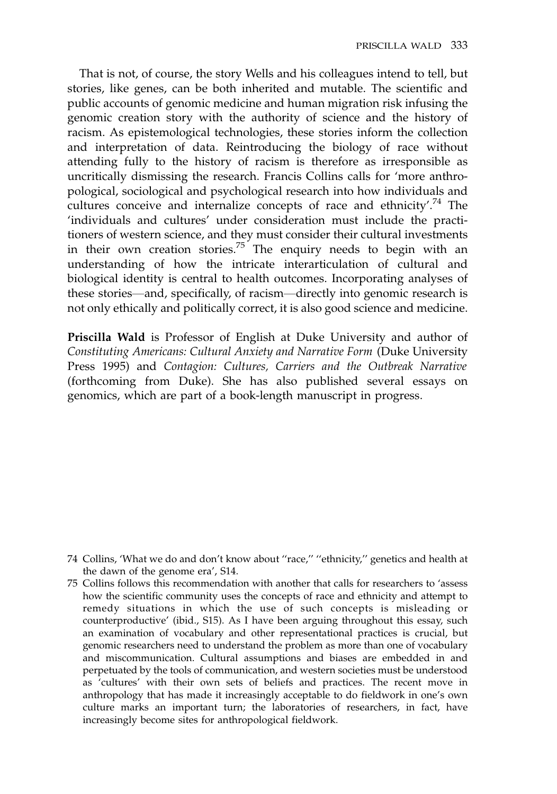That is not, of course, the story Wells and his colleagues intend to tell, but stories, like genes, can be both inherited and mutable. The scientific and public accounts of genomic medicine and human migration risk infusing the genomic creation story with the authority of science and the history of racism. As epistemological technologies, these stories inform the collection and interpretation of data. Reintroducing the biology of race without attending fully to the history of racism is therefore as irresponsible as uncritically dismissing the research. Francis Collins calls for 'more anthropological, sociological and psychological research into how individuals and cultures conceive and internalize concepts of race and ethnicity'.<sup>74</sup> The 'individuals and cultures' under consideration must include the practitioners of western science, and they must consider their cultural investments in their own creation stories.<sup>75</sup> The enquiry needs to begin with an understanding of how the intricate interarticulation of cultural and biological identity is central to health outcomes. Incorporating analyses of these stories—and, specifically, of racism—directly into genomic research is not only ethically and politically correct, it is also good science and medicine.

Priscilla Wald is Professor of English at Duke University and author of Constituting Americans: Cultural Anxiety and Narrative Form (Duke University Press 1995) and Contagion: Cultures, Carriers and the Outbreak Narrative (forthcoming from Duke). She has also published several essays on genomics, which are part of a book-length manuscript in progress.

<sup>74</sup> Collins, 'What we do and don't know about ''race,'' ''ethnicity,'' genetics and health at the dawn of the genome era', S14.

<sup>75</sup> Collins follows this recommendation with another that calls for researchers to 'assess how the scientific community uses the concepts of race and ethnicity and attempt to remedy situations in which the use of such concepts is misleading or counterproductive' (ibid., S15). As I have been arguing throughout this essay, such an examination of vocabulary and other representational practices is crucial, but genomic researchers need to understand the problem as more than one of vocabulary and miscommunication. Cultural assumptions and biases are embedded in and perpetuated by the tools of communication, and western societies must be understood as 'cultures' with their own sets of beliefs and practices. The recent move in anthropology that has made it increasingly acceptable to do fieldwork in one's own culture marks an important turn; the laboratories of researchers, in fact, have increasingly become sites for anthropological fieldwork.